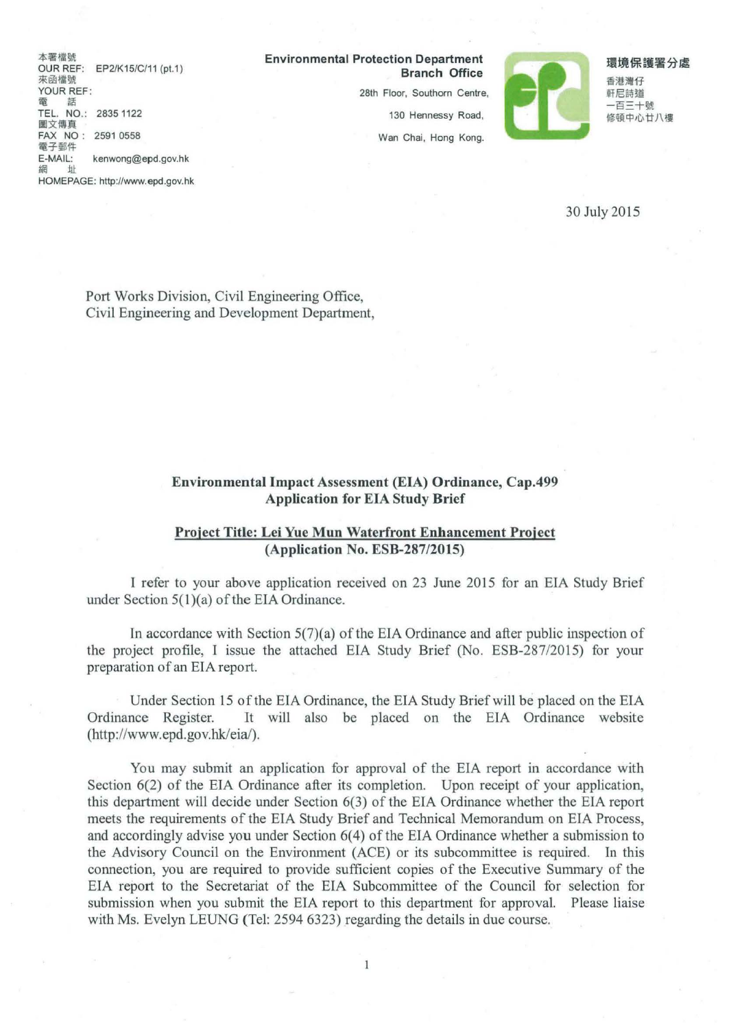本署檔號<br>
OUR REF: EP2/K15/C/11 (pt.1) **Environmental Protection Department Branch Office** The Team of The Team of The Team of The Team of The Team of The Team of The Team of Team of Team of The Team of Team of Team of Team o YOUR REF : the control of the control of the control of the control of the control of the control of the control of the control of the control of the control of the control of the control of the control of the control of <sup>11</sup>~ - s=+ll« TEL. NO.: 2835 1122 130 Hennessy Road, ~;mcp,t,, ttJ\11 IIJJZIIJ( FAX NO: 2591 0558 Wan Chai, Hong Kong. 電子郵件<br>E-MAIL: kenwong@epd.gov.hk **網 址** HOMEPAGE: http://www.epd.gov.hk



30 July 2015

Port Works Division, Civil Engineering Office, Civil Engineering and Development Department,

#### Environmental Impact Assessment (EIA) Ordinance, Cap.499 Application for EIA Study Brief

#### Project Title: Lei Yue Mun Waterfront Enhancement Project (Application No. ESB-287/2015)

I refer to your above application received on 23 June 2015 for an EIA Study Brief under Section  $5(1)(a)$  of the EIA Ordinance.

In accordance with Section  $5(7)(a)$  of the EIA Ordinance and after public inspection of the project profile, I issue the attached EIA Study Brief (No. ESB-287/2015) for your preparation of an EIA report.

Under Section 15 ofthe EIA Ordinance, the EIA Study Brief will be placed on the EIA Ordinance Register. It will also be placed on the EIA Ordinance website (http://www.epd.gov.hk/eia/).

You may submit an application for approval of the EIA report in accordance with Section 6(2) of the EIA Ordinance after its completion. Upon receipt of your application, this department will decide under Section 6(3) of the EIA Ordinance whether the EIA report meets the requirements of the EIA Study Brief and Technical Memorandum on EIA Process, and accordingly advise you under Section  $6(4)$  of the EIA Ordinance whether a submission to the Advisory Council on the Environment (ACE) or its subcommittee is required. In this connection, you are required to provide sufficient copies of the Executive Summary of the EIA report to the Secretariat of the EIA Subcommittee of the Council for selection for submission when you submit the EIA report to this department for approval. Please liaise with Ms. Evelyn LEUNG (Tel: 2594 6323) regarding the details in due course.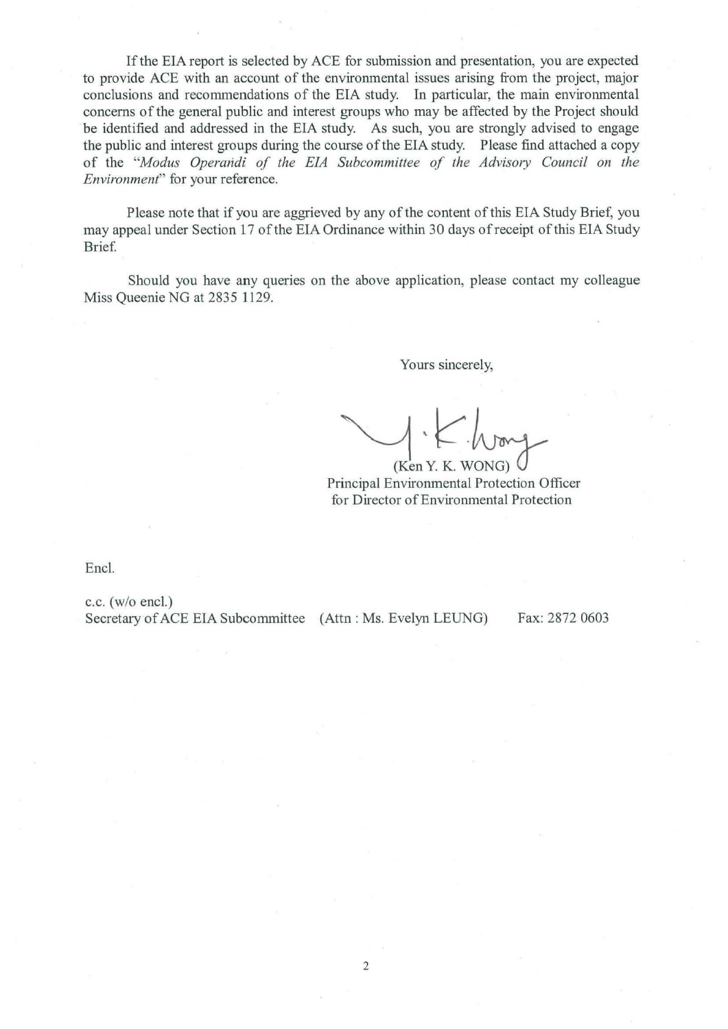If the EIA report is selected by ACE for submission and presentation, you are expected to provide ACE with an account of the environmental issues arising from the project, major conclusions and recommendations of the EIA study. In particular, the main environmental concerns of the general public and interest groups who may be affected by the Project should be identified and addressed in the EIA study. As such, you are strongly advised to engage the public and interest groups during the course of the EIA study. Please find attached a copy of the *"Modus Operandi of the EIA Subcommittee of the Advisory Council on the Environment"* for your reference.

Please note that if you are aggrieved by any of the content of this EIA Study Brief, you may appeal under Section 17 of the EIA Ordinance within 30 days of receipt of this EIA Study Brief

Should you have any queries on the above application, please contact my colleague Miss Queenie NG at 2835 1129.

Yours sincerely,

Ken Y. K. WONG)<br>Principal Environmental Protection Officer for Director of Environmental Protection

Encl.

c.c. (w/o encl.) Secretary of ACE EIA Subcommittee (Attn : Ms. Evelyn LEUNG) Fax: 2872 0603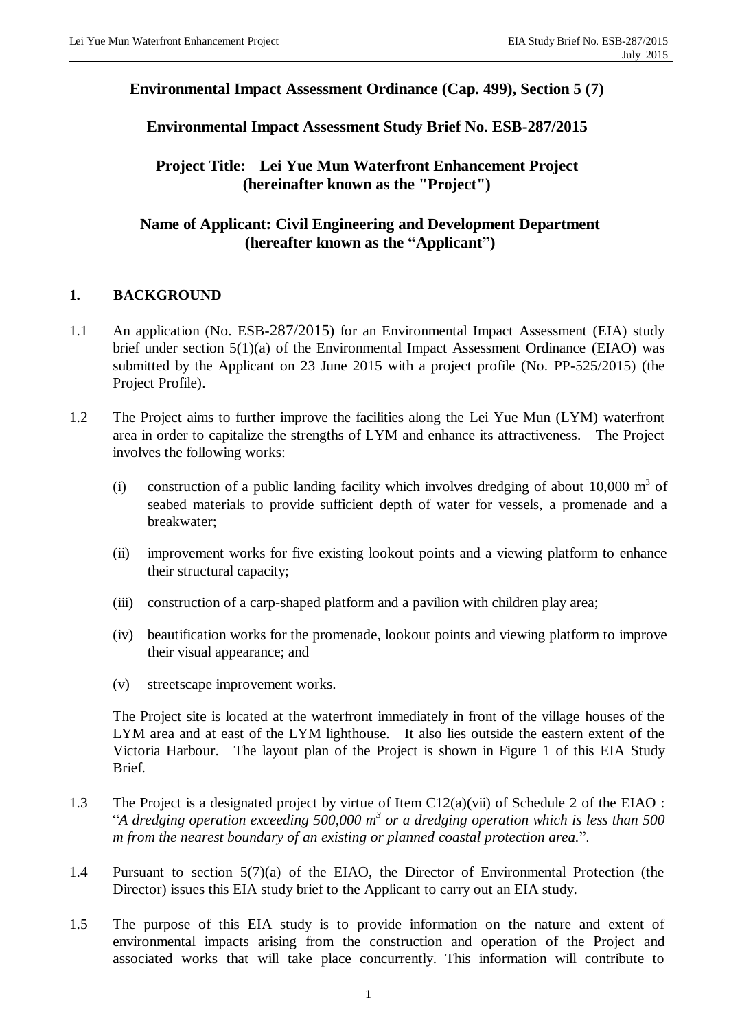# **Environmental Impact Assessment Ordinance (Cap. 499), Section 5 (7)**

# **Environmental Impact Assessment Study Brief No. ESB-287/2015**

**Project Title: Lei Yue Mun Waterfront Enhancement Project (hereinafter known as the "Project")**

# **Name of Applicant: Civil Engineering and Development Department (hereafter known as the "Applicant")**

# **1. BACKGROUND**

- 1.1 An application (No. ESB-287/2015) for an Environmental Impact Assessment (EIA) study brief under section 5(1)(a) of the Environmental Impact Assessment Ordinance (EIAO) was submitted by the Applicant on 23 June 2015 with a project profile (No. PP-525/2015) (the Project Profile).
- 1.2 The Project aims to further improve the facilities along the Lei Yue Mun (LYM) waterfront area in order to capitalize the strengths of LYM and enhance its attractiveness. The Project involves the following works:
	- (i) construction of a public landing facility which involves dredging of about  $10,000 \text{ m}^3$  of seabed materials to provide sufficient depth of water for vessels, a promenade and a breakwater;
	- (ii) improvement works for five existing lookout points and a viewing platform to enhance their structural capacity;
	- (iii) construction of a carp-shaped platform and a pavilion with children play area;
	- (iv) beautification works for the promenade, lookout points and viewing platform to improve their visual appearance; and
	- (v) streetscape improvement works.

 The Project site is located at the waterfront immediately in front of the village houses of the LYM area and at east of the LYM lighthouse. It also lies outside the eastern extent of the Victoria Harbour. The layout plan of the Project is shown in Figure 1 of this EIA Study Brief.

- 1.3 The Project is a designated project by virtue of Item C12(a)(vii) of Schedule 2 of the EIAO : "*A dredging operation exceeding 500,000 m<sup>3</sup> or a dredging operation which is less than 500 m from the nearest boundary of an existing or planned coastal protection area.*".
- 1.4 Pursuant to section 5(7)(a) of the EIAO, the Director of Environmental Protection (the Director) issues this EIA study brief to the Applicant to carry out an EIA study.
- 1.5 The purpose of this EIA study is to provide information on the nature and extent of environmental impacts arising from the construction and operation of the Project and associated works that will take place concurrently. This information will contribute to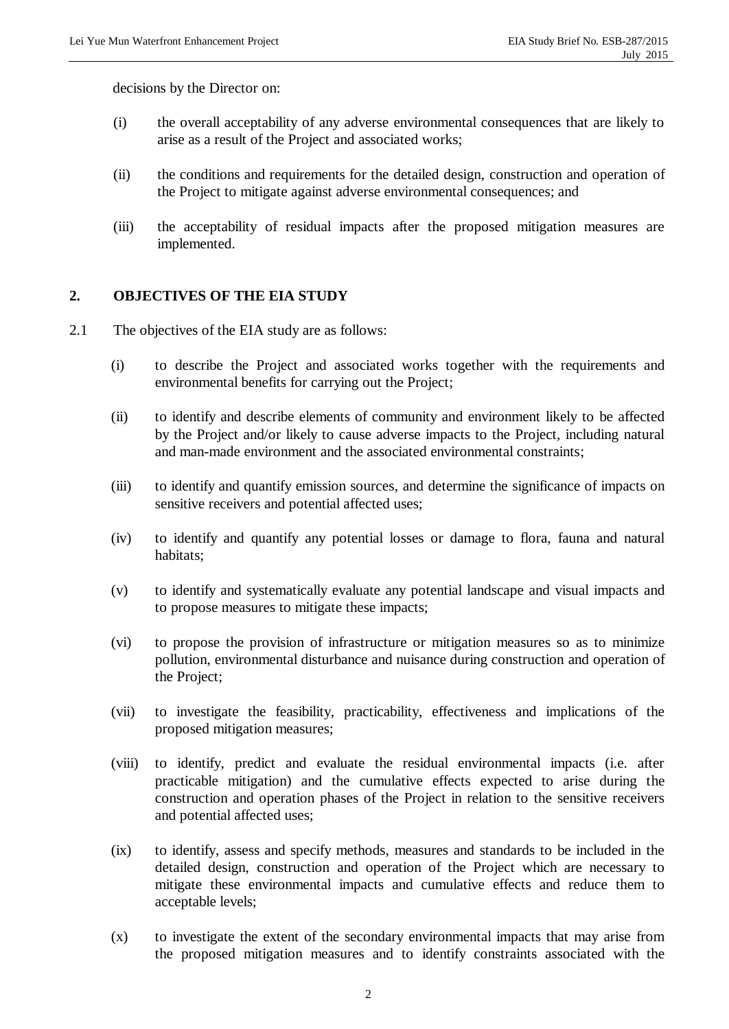decisions by the Director on:

- (i) the overall acceptability of any adverse environmental consequences that are likely to arise as a result of the Project and associated works;
- (ii) the conditions and requirements for the detailed design, construction and operation of the Project to mitigate against adverse environmental consequences; and
- (iii) the acceptability of residual impacts after the proposed mitigation measures are implemented.

#### **2. OBJECTIVES OF THE EIA STUDY**

- 2.1 The objectives of the EIA study are as follows:
	- (i) to describe the Project and associated works together with the requirements and environmental benefits for carrying out the Project;
	- (ii) to identify and describe elements of community and environment likely to be affected by the Project and/or likely to cause adverse impacts to the Project, including natural and man-made environment and the associated environmental constraints;
	- (iii) to identify and quantify emission sources, and determine the significance of impacts on sensitive receivers and potential affected uses;
	- (iv) to identify and quantify any potential losses or damage to flora, fauna and natural habitats;
	- (v) to identify and systematically evaluate any potential landscape and visual impacts and to propose measures to mitigate these impacts;
	- (vi) to propose the provision of infrastructure or mitigation measures so as to minimize pollution, environmental disturbance and nuisance during construction and operation of the Project;
	- (vii) to investigate the feasibility, practicability, effectiveness and implications of the proposed mitigation measures;
	- (viii) to identify, predict and evaluate the residual environmental impacts (i.e. after practicable mitigation) and the cumulative effects expected to arise during the construction and operation phases of the Project in relation to the sensitive receivers and potential affected uses;
	- (ix) to identify, assess and specify methods, measures and standards to be included in the detailed design, construction and operation of the Project which are necessary to mitigate these environmental impacts and cumulative effects and reduce them to acceptable levels;
	- (x) to investigate the extent of the secondary environmental impacts that may arise from the proposed mitigation measures and to identify constraints associated with the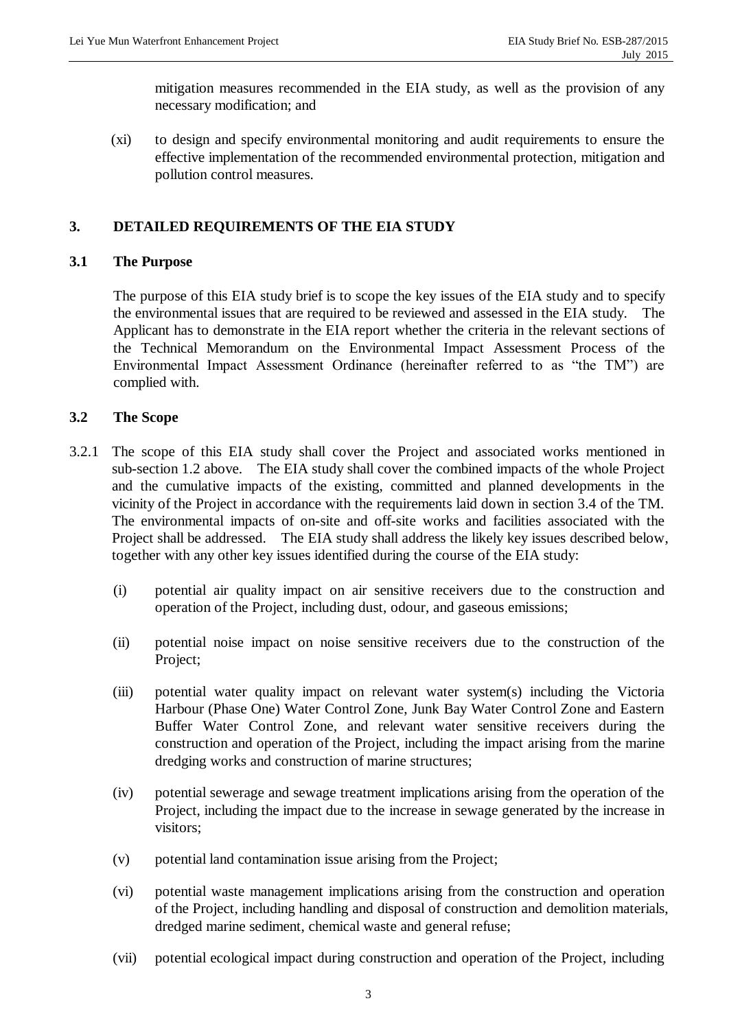mitigation measures recommended in the EIA study, as well as the provision of any necessary modification; and

(xi) to design and specify environmental monitoring and audit requirements to ensure the effective implementation of the recommended environmental protection, mitigation and pollution control measures.

## **3. DETAILED REQUIREMENTS OF THE EIA STUDY**

#### **3.1 The Purpose**

 The purpose of this EIA study brief is to scope the key issues of the EIA study and to specify the environmental issues that are required to be reviewed and assessed in the EIA study. The Applicant has to demonstrate in the EIA report whether the criteria in the relevant sections of the Technical Memorandum on the Environmental Impact Assessment Process of the Environmental Impact Assessment Ordinance (hereinafter referred to as "the TM") are complied with.

#### **3.2 The Scope**

- 3.2.1 The scope of this EIA study shall cover the Project and associated works mentioned in sub-section 1.2 above. The EIA study shall cover the combined impacts of the whole Project and the cumulative impacts of the existing, committed and planned developments in the vicinity of the Project in accordance with the requirements laid down in section 3.4 of the TM. The environmental impacts of on-site and off-site works and facilities associated with the Project shall be addressed. The EIA study shall address the likely key issues described below, together with any other key issues identified during the course of the EIA study:
	- (i) potential air quality impact on air sensitive receivers due to the construction and operation of the Project, including dust, odour, and gaseous emissions;
	- (ii) potential noise impact on noise sensitive receivers due to the construction of the Project;
	- (iii) potential water quality impact on relevant water system(s) including the Victoria Harbour (Phase One) Water Control Zone, Junk Bay Water Control Zone and Eastern Buffer Water Control Zone, and relevant water sensitive receivers during the construction and operation of the Project, including the impact arising from the marine dredging works and construction of marine structures;
	- (iv) potential sewerage and sewage treatment implications arising from the operation of the Project, including the impact due to the increase in sewage generated by the increase in visitors;
	- (v) potential land contamination issue arising from the Project;
	- (vi) potential waste management implications arising from the construction and operation of the Project, including handling and disposal of construction and demolition materials, dredged marine sediment, chemical waste and general refuse;
	- (vii) potential ecological impact during construction and operation of the Project, including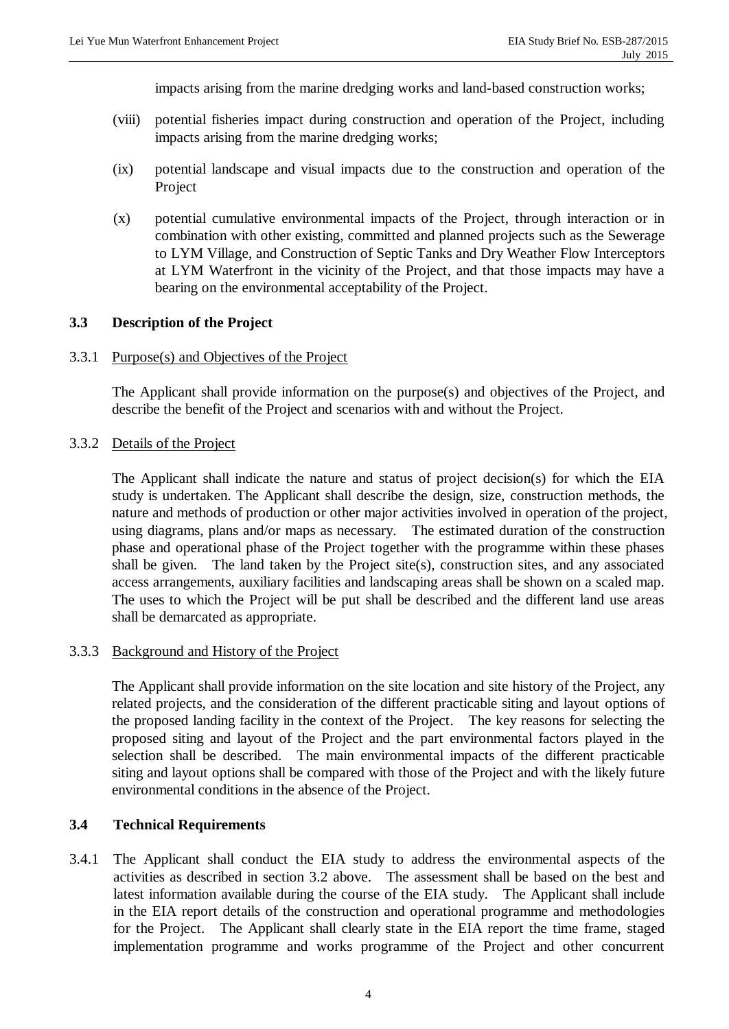impacts arising from the marine dredging works and land-based construction works;

- (viii) potential fisheries impact during construction and operation of the Project, including impacts arising from the marine dredging works;
- (ix) potential landscape and visual impacts due to the construction and operation of the Project
- (x) potential cumulative environmental impacts of the Project, through interaction or in combination with other existing, committed and planned projects such as the Sewerage to LYM Village, and Construction of Septic Tanks and Dry Weather Flow Interceptors at LYM Waterfront in the vicinity of the Project, and that those impacts may have a bearing on the environmental acceptability of the Project.

#### **3.3 Description of the Project**

3.3.1 Purpose(s) and Objectives of the Project

The Applicant shall provide information on the purpose(s) and objectives of the Project, and describe the benefit of the Project and scenarios with and without the Project.

#### 3.3.2 Details of the Project

The Applicant shall indicate the nature and status of project decision(s) for which the EIA study is undertaken. The Applicant shall describe the design, size, construction methods, the nature and methods of production or other major activities involved in operation of the project, using diagrams, plans and/or maps as necessary. The estimated duration of the construction phase and operational phase of the Project together with the programme within these phases shall be given. The land taken by the Project site(s), construction sites, and any associated access arrangements, auxiliary facilities and landscaping areas shall be shown on a scaled map. The uses to which the Project will be put shall be described and the different land use areas shall be demarcated as appropriate.

#### 3.3.3 Background and History of the Project

 The Applicant shall provide information on the site location and site history of the Project, any related projects, and the consideration of the different practicable siting and layout options of the proposed landing facility in the context of the Project. The key reasons for selecting the proposed siting and layout of the Project and the part environmental factors played in the selection shall be described. The main environmental impacts of the different practicable siting and layout options shall be compared with those of the Project and with the likely future environmental conditions in the absence of the Project.

# **3.4 Technical Requirements**

3.4.1 The Applicant shall conduct the EIA study to address the environmental aspects of the activities as described in section 3.2 above. The assessment shall be based on the best and latest information available during the course of the EIA study. The Applicant shall include in the EIA report details of the construction and operational programme and methodologies for the Project. The Applicant shall clearly state in the EIA report the time frame, staged implementation programme and works programme of the Project and other concurrent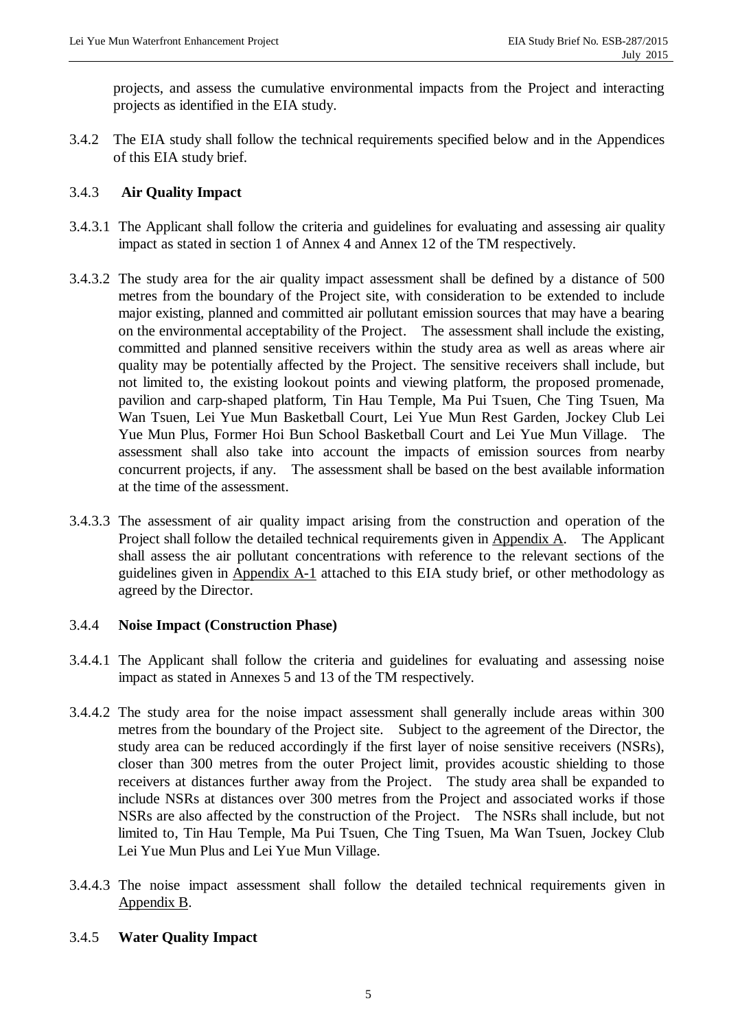projects, and assess the cumulative environmental impacts from the Project and interacting projects as identified in the EIA study.

3.4.2 The EIA study shall follow the technical requirements specified below and in the Appendices of this EIA study brief.

# 3.4.3 **Air Quality Impact**

- 3.4.3.1 The Applicant shall follow the criteria and guidelines for evaluating and assessing air quality impact as stated in section 1 of Annex 4 and Annex 12 of the TM respectively.
- 3.4.3.2 The study area for the air quality impact assessment shall be defined by a distance of 500 metres from the boundary of the Project site, with consideration to be extended to include major existing, planned and committed air pollutant emission sources that may have a bearing on the environmental acceptability of the Project. The assessment shall include the existing, committed and planned sensitive receivers within the study area as well as areas where air quality may be potentially affected by the Project. The sensitive receivers shall include, but not limited to, the existing lookout points and viewing platform, the proposed promenade, pavilion and carp-shaped platform, Tin Hau Temple, Ma Pui Tsuen, Che Ting Tsuen, Ma Wan Tsuen, Lei Yue Mun Basketball Court, Lei Yue Mun Rest Garden, Jockey Club Lei Yue Mun Plus, Former Hoi Bun School Basketball Court and Lei Yue Mun Village. The assessment shall also take into account the impacts of emission sources from nearby concurrent projects, if any. The assessment shall be based on the best available information at the time of the assessment.
- 3.4.3.3 The assessment of air quality impact arising from the construction and operation of the Project shall follow the detailed technical requirements given in Appendix A. The Applicant shall assess the air pollutant concentrations with reference to the relevant sections of the guidelines given in Appendix A-1 attached to this EIA study brief, or other methodology as agreed by the Director.

#### 3.4.4 **Noise Impact (Construction Phase)**

- 3.4.4.1 The Applicant shall follow the criteria and guidelines for evaluating and assessing noise impact as stated in Annexes 5 and 13 of the TM respectively.
- 3.4.4.2 The study area for the noise impact assessment shall generally include areas within 300 metres from the boundary of the Project site. Subject to the agreement of the Director, the study area can be reduced accordingly if the first layer of noise sensitive receivers (NSRs), closer than 300 metres from the outer Project limit, provides acoustic shielding to those receivers at distances further away from the Project. The study area shall be expanded to include NSRs at distances over 300 metres from the Project and associated works if those NSRs are also affected by the construction of the Project. The NSRs shall include, but not limited to, Tin Hau Temple, Ma Pui Tsuen, Che Ting Tsuen, Ma Wan Tsuen, Jockey Club Lei Yue Mun Plus and Lei Yue Mun Village.
- 3.4.4.3 The noise impact assessment shall follow the detailed technical requirements given in Appendix B.

#### 3.4.5 **Water Quality Impact**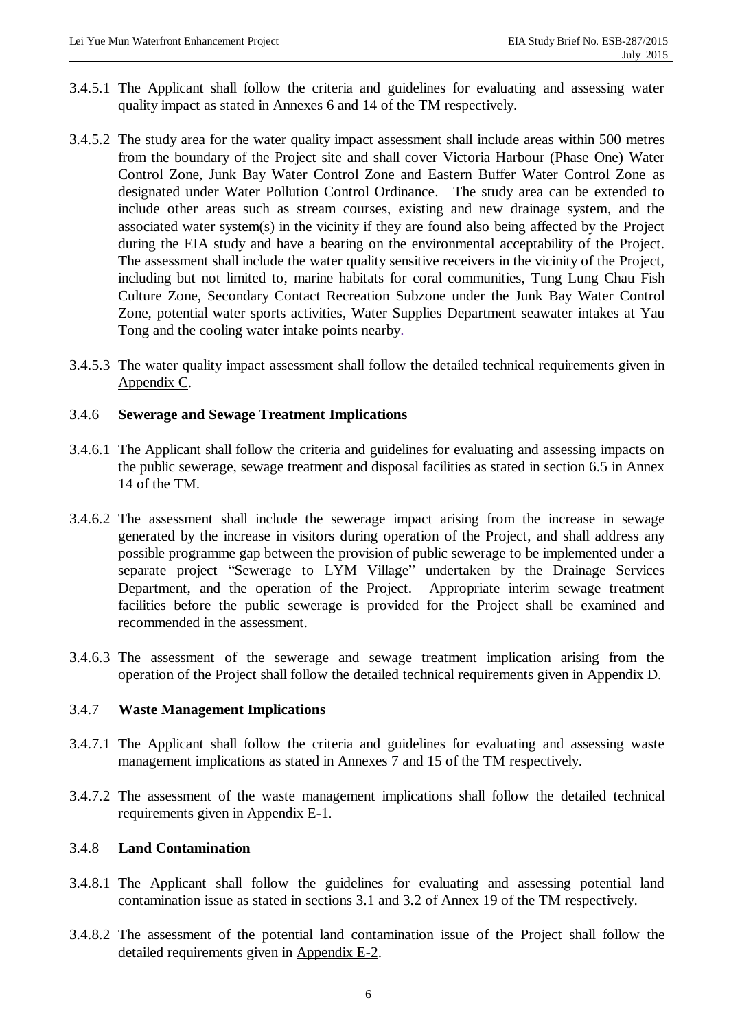- 3.4.5.1 The Applicant shall follow the criteria and guidelines for evaluating and assessing water quality impact as stated in Annexes 6 and 14 of the TM respectively.
- 3.4.5.2 The study area for the water quality impact assessment shall include areas within 500 metres from the boundary of the Project site and shall cover Victoria Harbour (Phase One) Water Control Zone, Junk Bay Water Control Zone and Eastern Buffer Water Control Zone as designated under Water Pollution Control Ordinance. The study area can be extended to include other areas such as stream courses, existing and new drainage system, and the associated water system(s) in the vicinity if they are found also being affected by the Project during the EIA study and have a bearing on the environmental acceptability of the Project. The assessment shall include the water quality sensitive receivers in the vicinity of the Project, including but not limited to, marine habitats for coral communities, Tung Lung Chau Fish Culture Zone, Secondary Contact Recreation Subzone under the Junk Bay Water Control Zone, potential water sports activities, Water Supplies Department seawater intakes at Yau Tong and the cooling water intake points nearby.
- 3.4.5.3 The water quality impact assessment shall follow the detailed technical requirements given in Appendix C.

#### 3.4.6 **Sewerage and Sewage Treatment Implications**

- 3.4.6.1 The Applicant shall follow the criteria and guidelines for evaluating and assessing impacts on the public sewerage, sewage treatment and disposal facilities as stated in section 6.5 in Annex 14 of the TM.
- 3.4.6.2 The assessment shall include the sewerage impact arising from the increase in sewage generated by the increase in visitors during operation of the Project, and shall address any possible programme gap between the provision of public sewerage to be implemented under a separate project "Sewerage to LYM Village" undertaken by the Drainage Services Department, and the operation of the Project. Appropriate interim sewage treatment facilities before the public sewerage is provided for the Project shall be examined and recommended in the assessment.
- 3.4.6.3 The assessment of the sewerage and sewage treatment implication arising from the operation of the Project shall follow the detailed technical requirements given in Appendix D.

#### 3.4.7 **Waste Management Implications**

- 3.4.7.1 The Applicant shall follow the criteria and guidelines for evaluating and assessing waste management implications as stated in Annexes 7 and 15 of the TM respectively.
- 3.4.7.2 The assessment of the waste management implications shall follow the detailed technical requirements given in Appendix E-1.

#### 3.4.8 **Land Contamination**

- 3.4.8.1 The Applicant shall follow the guidelines for evaluating and assessing potential land contamination issue as stated in sections 3.1 and 3.2 of Annex 19 of the TM respectively.
- 3.4.8.2 The assessment of the potential land contamination issue of the Project shall follow the detailed requirements given in Appendix E-2.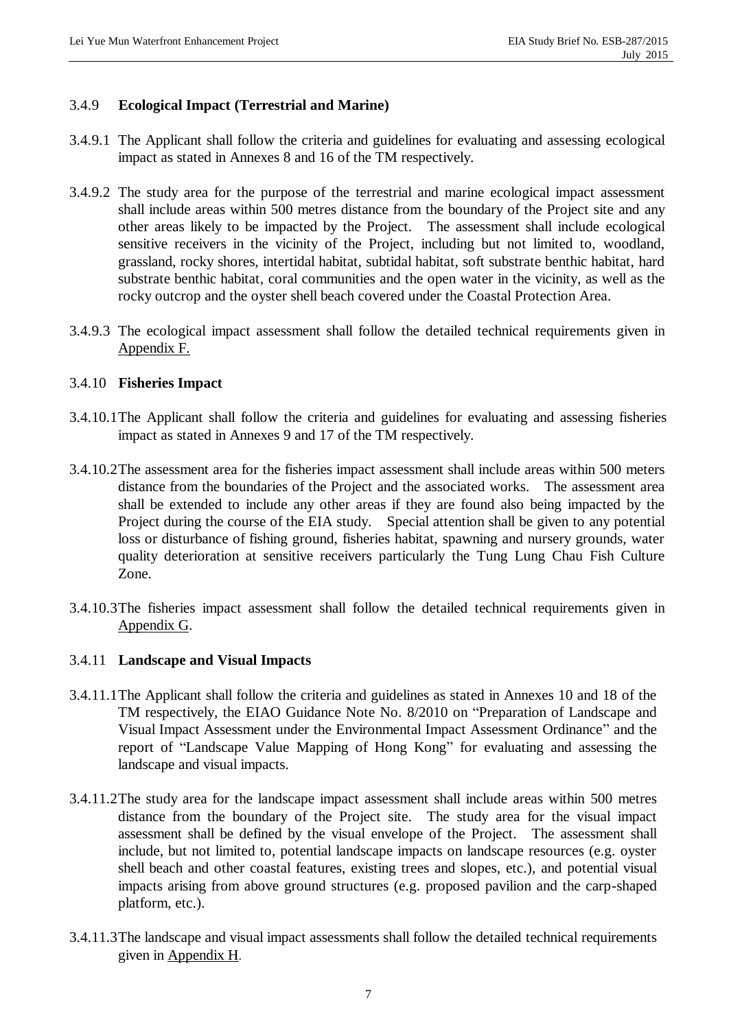# 3.4.9 **Ecological Impact (Terrestrial and Marine)**

- 3.4.9.1 The Applicant shall follow the criteria and guidelines for evaluating and assessing ecological impact as stated in Annexes 8 and 16 of the TM respectively.
- 3.4.9.2 The study area for the purpose of the terrestrial and marine ecological impact assessment shall include areas within 500 metres distance from the boundary of the Project site and any other areas likely to be impacted by the Project. The assessment shall include ecological sensitive receivers in the vicinity of the Project, including but not limited to, woodland, grassland, rocky shores, intertidal habitat, subtidal habitat, soft substrate benthic habitat, hard substrate benthic habitat, coral communities and the open water in the vicinity, as well as the rocky outcrop and the oyster shell beach covered under the Coastal Protection Area.
- 3.4.9.3 The ecological impact assessment shall follow the detailed technical requirements given in Appendix F.

#### 3.4.10 **Fisheries Impact**

- 3.4.10.1 The Applicant shall follow the criteria and guidelines for evaluating and assessing fisheries impact as stated in Annexes 9 and 17 of the TM respectively.
- 3.4.10.2 The assessment area for the fisheries impact assessment shall include areas within 500 meters distance from the boundaries of the Project and the associated works. The assessment area shall be extended to include any other areas if they are found also being impacted by the Project during the course of the EIA study. Special attention shall be given to any potential loss or disturbance of fishing ground, fisheries habitat, spawning and nursery grounds, water quality deterioration at sensitive receivers particularly the Tung Lung Chau Fish Culture Zone.
- 3.4.10.3 The fisheries impact assessment shall follow the detailed technical requirements given in Appendix G.

#### 3.4.11 **Landscape and Visual Impacts**

- 3.4.11.1 The Applicant shall follow the criteria and guidelines as stated in Annexes 10 and 18 of the TM respectively, the EIAO Guidance Note No. 8/2010 on "Preparation of Landscape and Visual Impact Assessment under the Environmental Impact Assessment Ordinance" and the report of "Landscape Value Mapping of Hong Kong" for evaluating and assessing the landscape and visual impacts.
- 3.4.11.2 The study area for the landscape impact assessment shall include areas within 500 metres distance from the boundary of the Project site. The study area for the visual impact assessment shall be defined by the visual envelope of the Project. The assessment shall include, but not limited to, potential landscape impacts on landscape resources (e.g. oyster shell beach and other coastal features, existing trees and slopes, etc.), and potential visual impacts arising from above ground structures (e.g. proposed pavilion and the carp-shaped platform, etc.).
- 3.4.11.3 The landscape and visual impact assessments shall follow the detailed technical requirements given in Appendix H.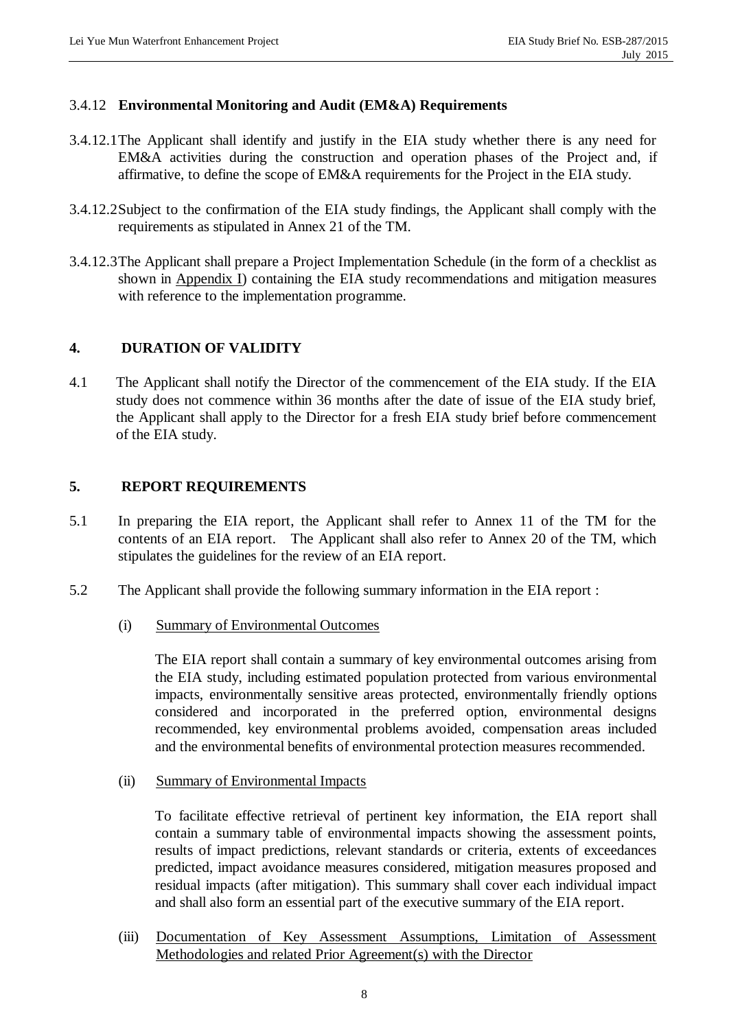#### 3.4.12 **Environmental Monitoring and Audit (EM&A) Requirements**

- 3.4.12.1 The Applicant shall identify and justify in the EIA study whether there is any need for EM&A activities during the construction and operation phases of the Project and, if affirmative, to define the scope of EM&A requirements for the Project in the EIA study.
- 3.4.12.2 Subject to the confirmation of the EIA study findings, the Applicant shall comply with the requirements as stipulated in Annex 21 of the TM.
- 3.4.12.3 The Applicant shall prepare a Project Implementation Schedule (in the form of a checklist as shown in Appendix I) containing the EIA study recommendations and mitigation measures with reference to the implementation programme.

#### **4. DURATION OF VALIDITY**

4.1 The Applicant shall notify the Director of the commencement of the EIA study. If the EIA study does not commence within 36 months after the date of issue of the EIA study brief, the Applicant shall apply to the Director for a fresh EIA study brief before commencement of the EIA study.

#### **5. REPORT REQUIREMENTS**

- 5.1 In preparing the EIA report, the Applicant shall refer to Annex 11 of the TM for the contents of an EIA report. The Applicant shall also refer to Annex 20 of the TM, which stipulates the guidelines for the review of an EIA report.
- 5.2 The Applicant shall provide the following summary information in the EIA report :
	- (i) Summary of Environmental Outcomes

The EIA report shall contain a summary of key environmental outcomes arising from the EIA study, including estimated population protected from various environmental impacts, environmentally sensitive areas protected, environmentally friendly options considered and incorporated in the preferred option, environmental designs recommended, key environmental problems avoided, compensation areas included and the environmental benefits of environmental protection measures recommended.

(ii) Summary of Environmental Impacts

To facilitate effective retrieval of pertinent key information, the EIA report shall contain a summary table of environmental impacts showing the assessment points, results of impact predictions, relevant standards or criteria, extents of exceedances predicted, impact avoidance measures considered, mitigation measures proposed and residual impacts (after mitigation). This summary shall cover each individual impact and shall also form an essential part of the executive summary of the EIA report.

(iii) Documentation of Key Assessment Assumptions, Limitation of Assessment Methodologies and related Prior Agreement(s) with the Director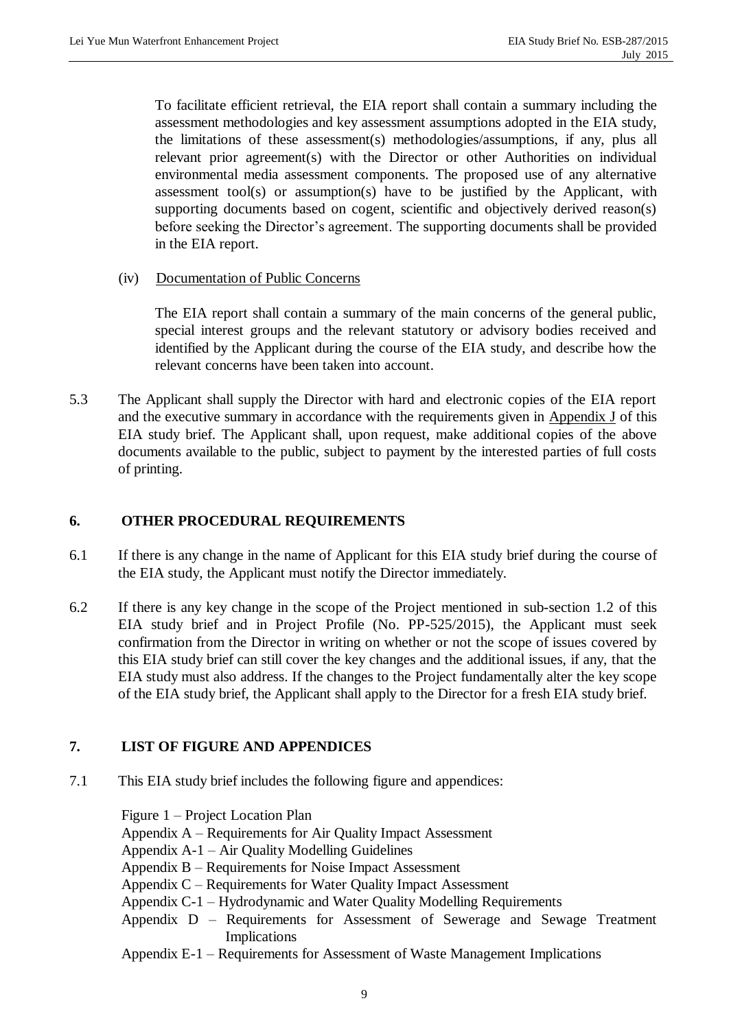To facilitate efficient retrieval, the EIA report shall contain a summary including the assessment methodologies and key assessment assumptions adopted in the EIA study, the limitations of these assessment(s) methodologies/assumptions, if any, plus all relevant prior agreement(s) with the Director or other Authorities on individual environmental media assessment components. The proposed use of any alternative assessment tool(s) or assumption(s) have to be justified by the Applicant, with supporting documents based on cogent, scientific and objectively derived reason(s) before seeking the Director's agreement. The supporting documents shall be provided in the EIA report.

(iv) Documentation of Public Concerns

The EIA report shall contain a summary of the main concerns of the general public, special interest groups and the relevant statutory or advisory bodies received and identified by the Applicant during the course of the EIA study, and describe how the relevant concerns have been taken into account.

5.3 The Applicant shall supply the Director with hard and electronic copies of the EIA report and the executive summary in accordance with the requirements given in Appendix J of this EIA study brief. The Applicant shall, upon request, make additional copies of the above documents available to the public, subject to payment by the interested parties of full costs of printing.

#### **6. OTHER PROCEDURAL REQUIREMENTS**

- 6.1 If there is any change in the name of Applicant for this EIA study brief during the course of the EIA study, the Applicant must notify the Director immediately.
- 6.2 If there is any key change in the scope of the Project mentioned in sub-section 1.2 of this EIA study brief and in Project Profile (No. PP-525/2015), the Applicant must seek confirmation from the Director in writing on whether or not the scope of issues covered by this EIA study brief can still cover the key changes and the additional issues, if any, that the EIA study must also address. If the changes to the Project fundamentally alter the key scope of the EIA study brief, the Applicant shall apply to the Director for a fresh EIA study brief.

# **7. LIST OF FIGURE AND APPENDICES**

7.1 This EIA study brief includes the following figure and appendices:

 Figure 1 – Project Location Plan Appendix A – Requirements for Air Quality Impact Assessment Appendix A-1 – Air Quality Modelling Guidelines Appendix B – Requirements for Noise Impact Assessment Appendix C – Requirements for Water Quality Impact Assessment Appendix C-1 – Hydrodynamic and Water Quality Modelling Requirements Appendix D – Requirements for Assessment of Sewerage and Sewage Treatment Implications

Appendix E-1 – Requirements for Assessment of Waste Management Implications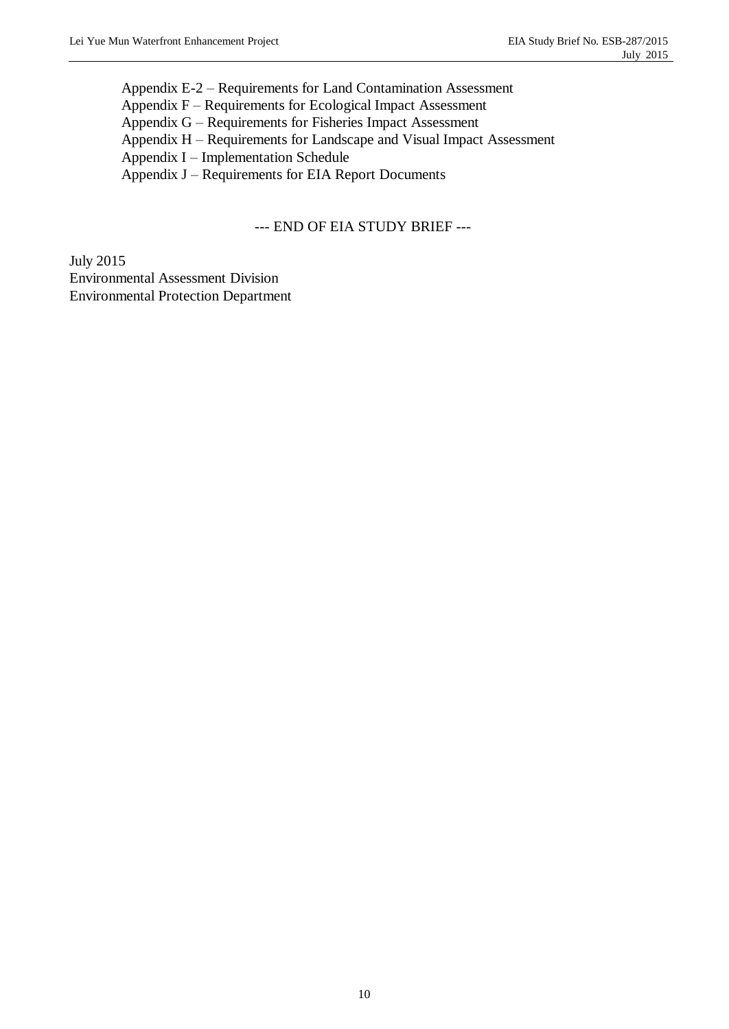Appendix E-2 – Requirements for Land Contamination Assessment Appendix F – Requirements for Ecological Impact Assessment Appendix G – Requirements for Fisheries Impact Assessment Appendix H – Requirements for Landscape and Visual Impact Assessment Appendix I – Implementation Schedule Appendix J – Requirements for EIA Report Documents

# --- END OF EIA STUDY BRIEF ---

July 2015 Environmental Assessment Division Environmental Protection Department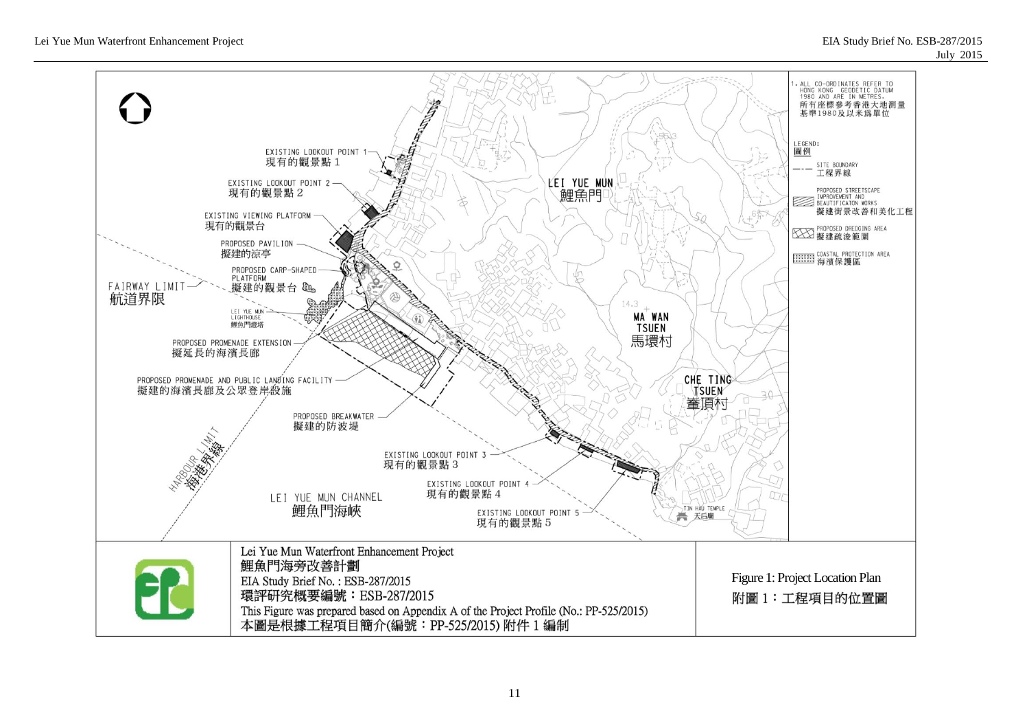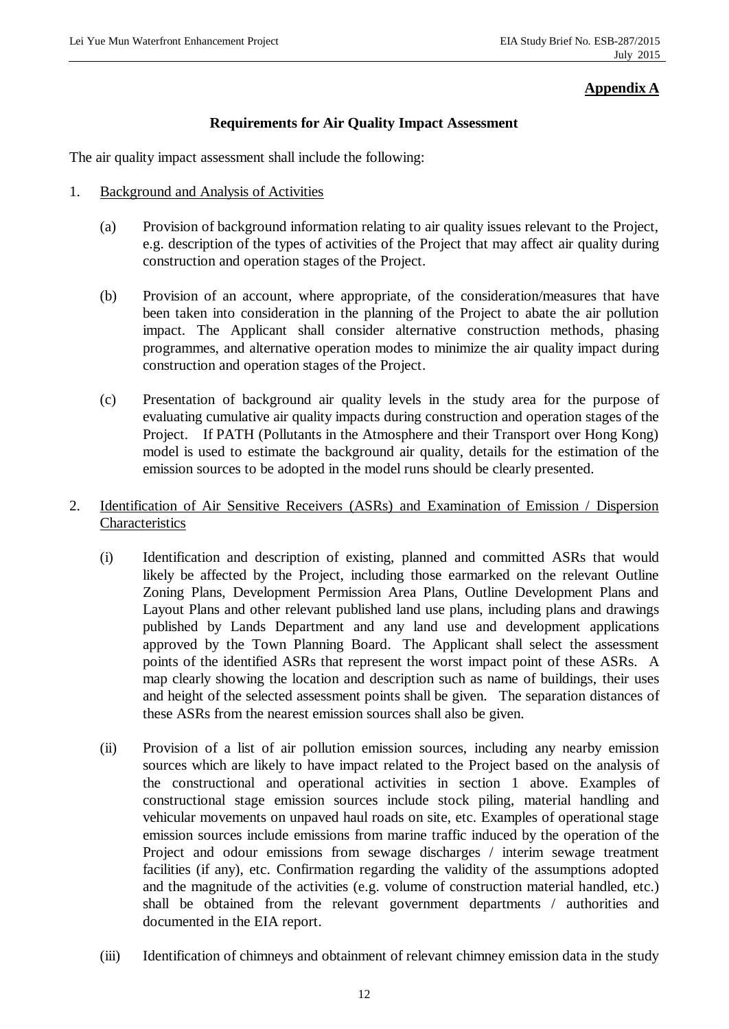# **Appendix A**

# **Requirements for Air Quality Impact Assessment**

The air quality impact assessment shall include the following:

- 1. Background and Analysis of Activities
	- (a) Provision of background information relating to air quality issues relevant to the Project, e.g. description of the types of activities of the Project that may affect air quality during construction and operation stages of the Project.
	- (b) Provision of an account, where appropriate, of the consideration/measures that have been taken into consideration in the planning of the Project to abate the air pollution impact. The Applicant shall consider alternative construction methods, phasing programmes, and alternative operation modes to minimize the air quality impact during construction and operation stages of the Project.
	- (c) Presentation of background air quality levels in the study area for the purpose of evaluating cumulative air quality impacts during construction and operation stages of the Project. If PATH (Pollutants in the Atmosphere and their Transport over Hong Kong) model is used to estimate the background air quality, details for the estimation of the emission sources to be adopted in the model runs should be clearly presented.
- 2. Identification of Air Sensitive Receivers (ASRs) and Examination of Emission / Dispersion **Characteristics** 
	- (i) Identification and description of existing, planned and committed ASRs that would likely be affected by the Project, including those earmarked on the relevant Outline Zoning Plans, Development Permission Area Plans, Outline Development Plans and Layout Plans and other relevant published land use plans, including plans and drawings published by Lands Department and any land use and development applications approved by the Town Planning Board. The Applicant shall select the assessment points of the identified ASRs that represent the worst impact point of these ASRs. A map clearly showing the location and description such as name of buildings, their uses and height of the selected assessment points shall be given. The separation distances of these ASRs from the nearest emission sources shall also be given.
	- (ii) Provision of a list of air pollution emission sources, including any nearby emission sources which are likely to have impact related to the Project based on the analysis of the constructional and operational activities in section 1 above. Examples of constructional stage emission sources include stock piling, material handling and vehicular movements on unpaved haul roads on site, etc. Examples of operational stage emission sources include emissions from marine traffic induced by the operation of the Project and odour emissions from sewage discharges / interim sewage treatment facilities (if any), etc. Confirmation regarding the validity of the assumptions adopted and the magnitude of the activities (e.g. volume of construction material handled, etc.) shall be obtained from the relevant government departments / authorities and documented in the EIA report.
	- (iii) Identification of chimneys and obtainment of relevant chimney emission data in the study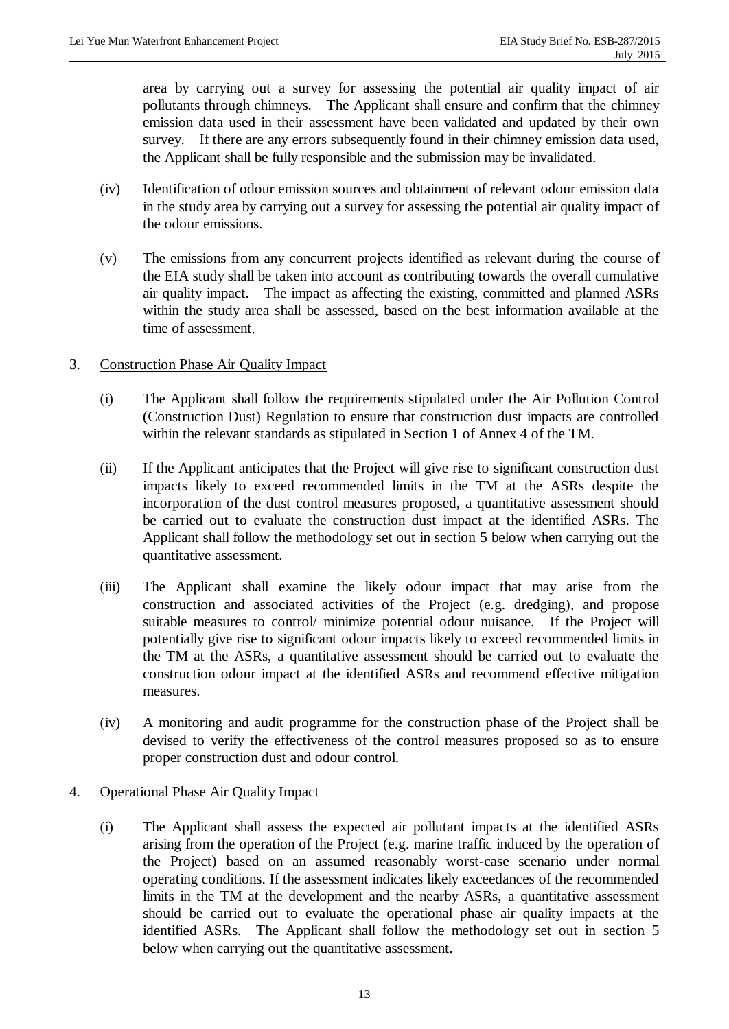area by carrying out a survey for assessing the potential air quality impact of air pollutants through chimneys. The Applicant shall ensure and confirm that the chimney emission data used in their assessment have been validated and updated by their own survey. If there are any errors subsequently found in their chimney emission data used, the Applicant shall be fully responsible and the submission may be invalidated.

- (iv) Identification of odour emission sources and obtainment of relevant odour emission data in the study area by carrying out a survey for assessing the potential air quality impact of the odour emissions.
- (v) The emissions from any concurrent projects identified as relevant during the course of the EIA study shall be taken into account as contributing towards the overall cumulative air quality impact. The impact as affecting the existing, committed and planned ASRs within the study area shall be assessed, based on the best information available at the time of assessment.
- 3. Construction Phase Air Quality Impact
	- (i) The Applicant shall follow the requirements stipulated under the Air Pollution Control (Construction Dust) Regulation to ensure that construction dust impacts are controlled within the relevant standards as stipulated in Section 1 of Annex 4 of the TM.
	- (ii) If the Applicant anticipates that the Project will give rise to significant construction dust impacts likely to exceed recommended limits in the TM at the ASRs despite the incorporation of the dust control measures proposed, a quantitative assessment should be carried out to evaluate the construction dust impact at the identified ASRs. The Applicant shall follow the methodology set out in section 5 below when carrying out the quantitative assessment.
	- (iii) The Applicant shall examine the likely odour impact that may arise from the construction and associated activities of the Project (e.g. dredging), and propose suitable measures to control/ minimize potential odour nuisance. If the Project will potentially give rise to significant odour impacts likely to exceed recommended limits in the TM at the ASRs, a quantitative assessment should be carried out to evaluate the construction odour impact at the identified ASRs and recommend effective mitigation measures.
	- (iv) A monitoring and audit programme for the construction phase of the Project shall be devised to verify the effectiveness of the control measures proposed so as to ensure proper construction dust and odour control.
- 4. Operational Phase Air Quality Impact
	- (i) The Applicant shall assess the expected air pollutant impacts at the identified ASRs arising from the operation of the Project (e.g. marine traffic induced by the operation of the Project) based on an assumed reasonably worst-case scenario under normal operating conditions. If the assessment indicates likely exceedances of the recommended limits in the TM at the development and the nearby ASRs, a quantitative assessment should be carried out to evaluate the operational phase air quality impacts at the identified ASRs. The Applicant shall follow the methodology set out in section 5 below when carrying out the quantitative assessment.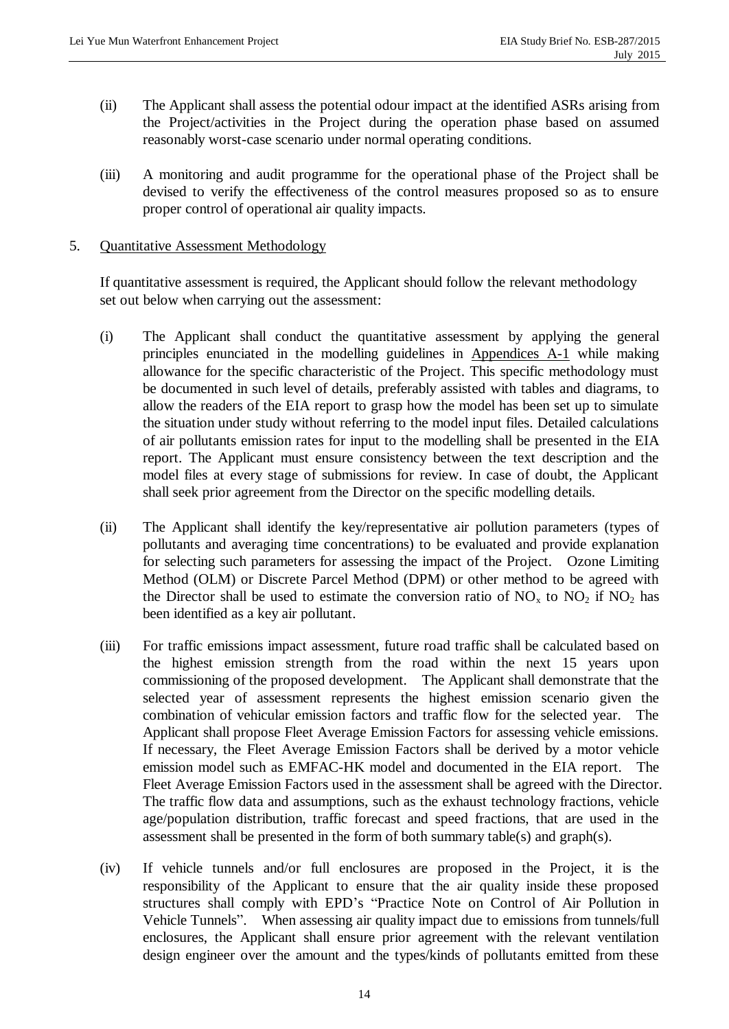- (ii) The Applicant shall assess the potential odour impact at the identified ASRs arising from the Project/activities in the Project during the operation phase based on assumed reasonably worst-case scenario under normal operating conditions.
- (iii) A monitoring and audit programme for the operational phase of the Project shall be devised to verify the effectiveness of the control measures proposed so as to ensure proper control of operational air quality impacts.

#### 5. Quantitative Assessment Methodology

If quantitative assessment is required, the Applicant should follow the relevant methodology set out below when carrying out the assessment:

- (i) The Applicant shall conduct the quantitative assessment by applying the general principles enunciated in the modelling guidelines in Appendices A-1 while making allowance for the specific characteristic of the Project. This specific methodology must be documented in such level of details, preferably assisted with tables and diagrams, to allow the readers of the EIA report to grasp how the model has been set up to simulate the situation under study without referring to the model input files. Detailed calculations of air pollutants emission rates for input to the modelling shall be presented in the EIA report. The Applicant must ensure consistency between the text description and the model files at every stage of submissions for review. In case of doubt, the Applicant shall seek prior agreement from the Director on the specific modelling details.
- (ii) The Applicant shall identify the key/representative air pollution parameters (types of pollutants and averaging time concentrations) to be evaluated and provide explanation for selecting such parameters for assessing the impact of the Project. Ozone Limiting Method (OLM) or Discrete Parcel Method (DPM) or other method to be agreed with the Director shall be used to estimate the conversion ratio of  $NO<sub>x</sub>$  to  $NO<sub>2</sub>$  if  $NO<sub>2</sub>$  has been identified as a key air pollutant.
- (iii) For traffic emissions impact assessment, future road traffic shall be calculated based on the highest emission strength from the road within the next 15 years upon commissioning of the proposed development. The Applicant shall demonstrate that the selected year of assessment represents the highest emission scenario given the combination of vehicular emission factors and traffic flow for the selected year. The Applicant shall propose Fleet Average Emission Factors for assessing vehicle emissions. If necessary, the Fleet Average Emission Factors shall be derived by a motor vehicle emission model such as EMFAC-HK model and documented in the EIA report. The Fleet Average Emission Factors used in the assessment shall be agreed with the Director. The traffic flow data and assumptions, such as the exhaust technology fractions, vehicle age/population distribution, traffic forecast and speed fractions, that are used in the assessment shall be presented in the form of both summary table(s) and graph(s).
- (iv) If vehicle tunnels and/or full enclosures are proposed in the Project, it is the responsibility of the Applicant to ensure that the air quality inside these proposed structures shall comply with EPD's "Practice Note on Control of Air Pollution in Vehicle Tunnels". When assessing air quality impact due to emissions from tunnels/full enclosures, the Applicant shall ensure prior agreement with the relevant ventilation design engineer over the amount and the types/kinds of pollutants emitted from these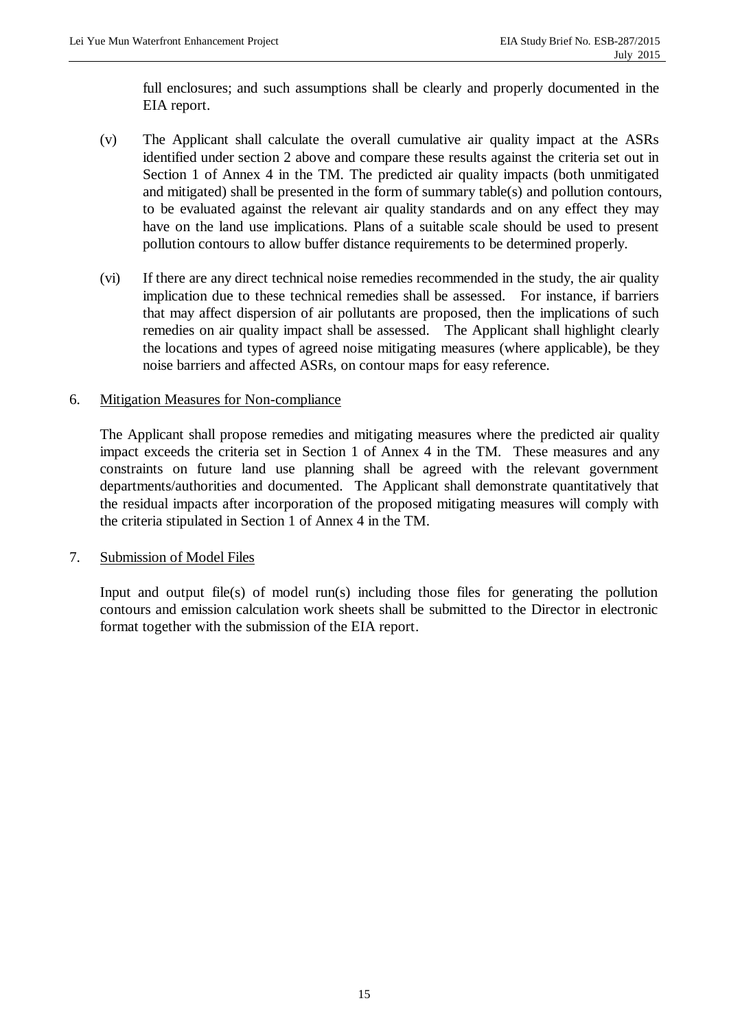full enclosures; and such assumptions shall be clearly and properly documented in the EIA report.

- (v) The Applicant shall calculate the overall cumulative air quality impact at the ASRs identified under section 2 above and compare these results against the criteria set out in Section 1 of Annex 4 in the TM. The predicted air quality impacts (both unmitigated and mitigated) shall be presented in the form of summary table(s) and pollution contours, to be evaluated against the relevant air quality standards and on any effect they may have on the land use implications. Plans of a suitable scale should be used to present pollution contours to allow buffer distance requirements to be determined properly.
- (vi) If there are any direct technical noise remedies recommended in the study, the air quality implication due to these technical remedies shall be assessed. For instance, if barriers that may affect dispersion of air pollutants are proposed, then the implications of such remedies on air quality impact shall be assessed. The Applicant shall highlight clearly the locations and types of agreed noise mitigating measures (where applicable), be they noise barriers and affected ASRs, on contour maps for easy reference.

#### 6. Mitigation Measures for Non-compliance

The Applicant shall propose remedies and mitigating measures where the predicted air quality impact exceeds the criteria set in Section 1 of Annex 4 in the TM. These measures and any constraints on future land use planning shall be agreed with the relevant government departments/authorities and documented. The Applicant shall demonstrate quantitatively that the residual impacts after incorporation of the proposed mitigating measures will comply with the criteria stipulated in Section 1 of Annex 4 in the TM.

#### 7. Submission of Model Files

 Input and output file(s) of model run(s) including those files for generating the pollution contours and emission calculation work sheets shall be submitted to the Director in electronic format together with the submission of the EIA report.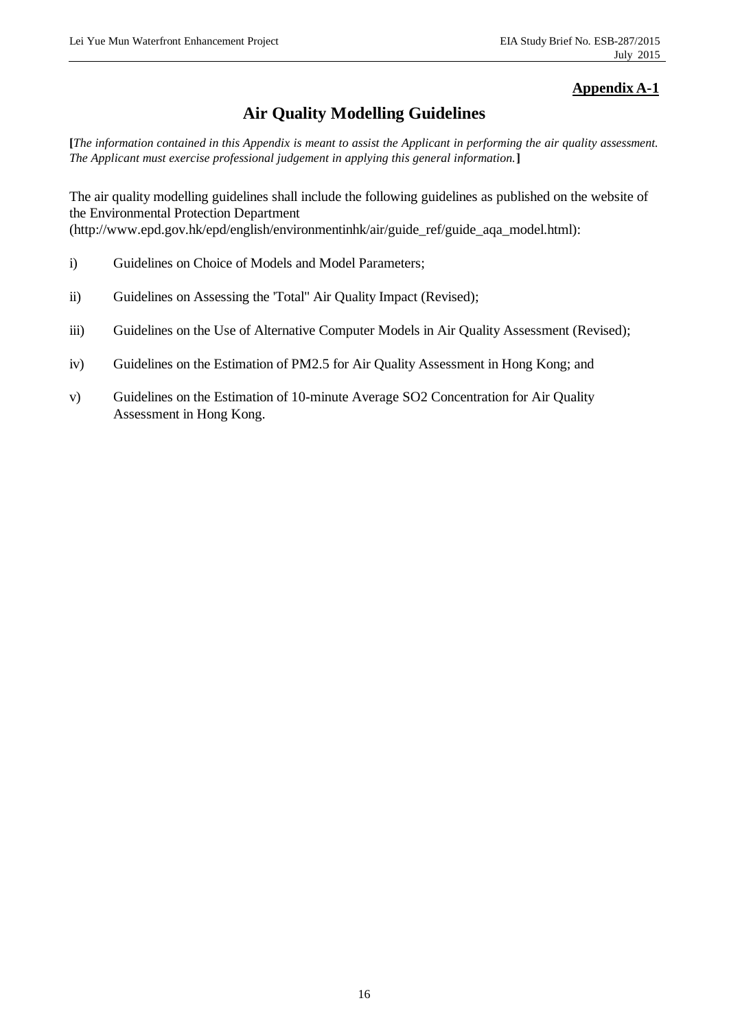# **Appendix A-1**

# **Air Quality Modelling Guidelines**

**[***The information contained in this Appendix is meant to assist the Applicant in performing the air quality assessment. The Applicant must exercise professional judgement in applying this general information.***]** 

The air quality modelling guidelines shall include the following guidelines as published on the website of the Environmental Protection Department

(http://www.epd.gov.hk/epd/english/environmentinhk/air/guide\_ref/guide\_aqa\_model.html):

- i) Guidelines on Choice of Models and Model Parameters;
- ii) Guidelines on Assessing the 'Total" Air Quality Impact (Revised);
- iii) Guidelines on the Use of Alternative Computer Models in Air Quality Assessment (Revised);
- iv) Guidelines on the Estimation of PM2.5 for Air Quality Assessment in Hong Kong; and
- v) Guidelines on the Estimation of 10-minute Average SO2 Concentration for Air Quality Assessment in Hong Kong.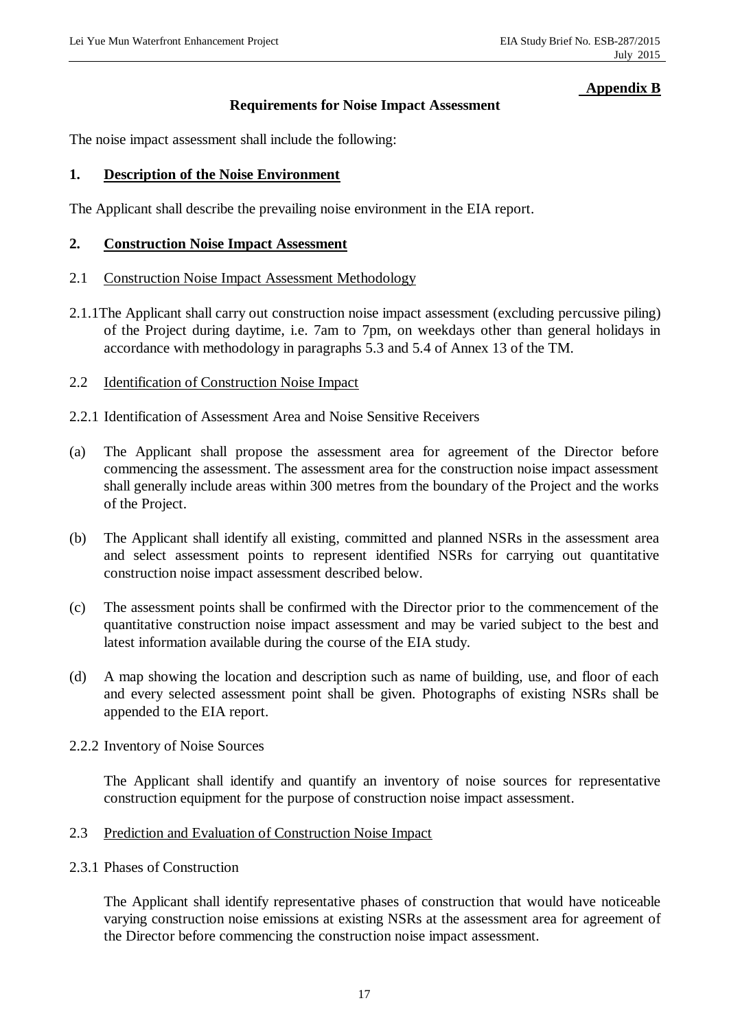#### **Appendix B**

#### **Requirements for Noise Impact Assessment**

The noise impact assessment shall include the following:

#### **1. Description of the Noise Environment**

The Applicant shall describe the prevailing noise environment in the EIA report.

#### **2. Construction Noise Impact Assessment**

#### 2.1 Construction Noise Impact Assessment Methodology

- 2.1.1The Applicant shall carry out construction noise impact assessment (excluding percussive piling) of the Project during daytime, i.e. 7am to 7pm, on weekdays other than general holidays in accordance with methodology in paragraphs 5.3 and 5.4 of Annex 13 of the TM.
- 2.2 Identification of Construction Noise Impact
- 2.2.1 Identification of Assessment Area and Noise Sensitive Receivers
- (a) The Applicant shall propose the assessment area for agreement of the Director before commencing the assessment. The assessment area for the construction noise impact assessment shall generally include areas within 300 metres from the boundary of the Project and the works of the Project.
- (b) The Applicant shall identify all existing, committed and planned NSRs in the assessment area and select assessment points to represent identified NSRs for carrying out quantitative construction noise impact assessment described below.
- (c) The assessment points shall be confirmed with the Director prior to the commencement of the quantitative construction noise impact assessment and may be varied subject to the best and latest information available during the course of the EIA study.
- (d) A map showing the location and description such as name of building, use, and floor of each and every selected assessment point shall be given. Photographs of existing NSRs shall be appended to the EIA report.

#### 2.2.2 Inventory of Noise Sources

The Applicant shall identify and quantify an inventory of noise sources for representative construction equipment for the purpose of construction noise impact assessment.

#### 2.3 Prediction and Evaluation of Construction Noise Impact

2.3.1 Phases of Construction

The Applicant shall identify representative phases of construction that would have noticeable varying construction noise emissions at existing NSRs at the assessment area for agreement of the Director before commencing the construction noise impact assessment.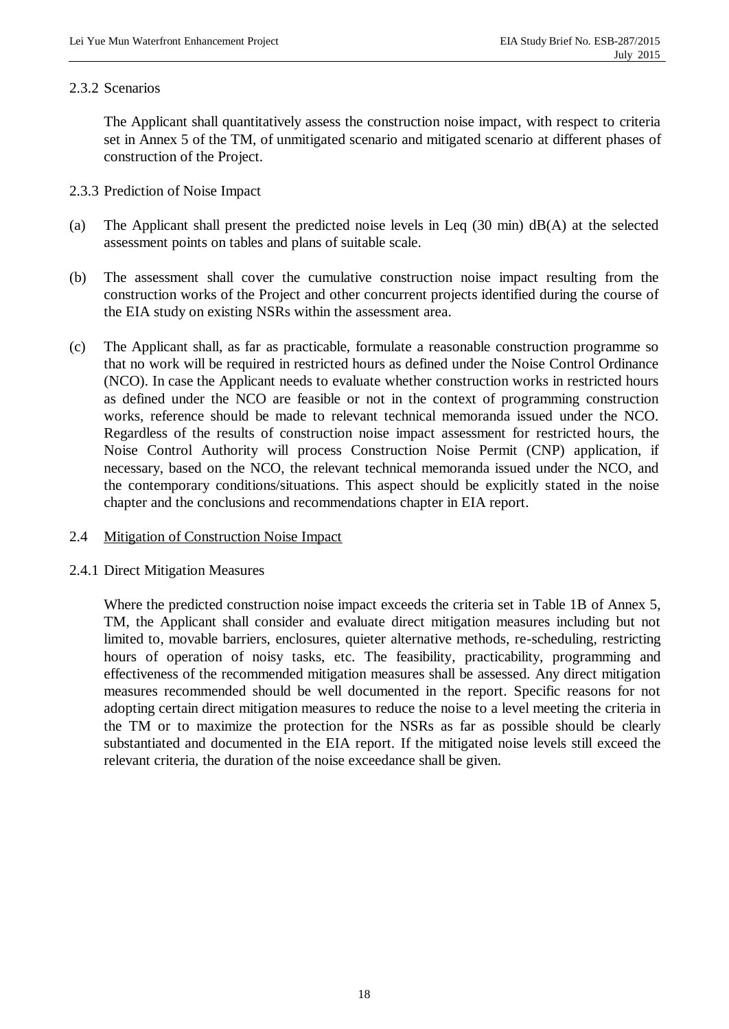# 2.3.2 Scenarios

The Applicant shall quantitatively assess the construction noise impact, with respect to criteria set in Annex 5 of the TM, of unmitigated scenario and mitigated scenario at different phases of construction of the Project.

- 2.3.3 Prediction of Noise Impact
- (a) The Applicant shall present the predicted noise levels in Leq (30 min) dB(A) at the selected assessment points on tables and plans of suitable scale.
- (b) The assessment shall cover the cumulative construction noise impact resulting from the construction works of the Project and other concurrent projects identified during the course of the EIA study on existing NSRs within the assessment area.
- (c) The Applicant shall, as far as practicable, formulate a reasonable construction programme so that no work will be required in restricted hours as defined under the Noise Control Ordinance (NCO). In case the Applicant needs to evaluate whether construction works in restricted hours as defined under the NCO are feasible or not in the context of programming construction works, reference should be made to relevant technical memoranda issued under the NCO. Regardless of the results of construction noise impact assessment for restricted hours, the Noise Control Authority will process Construction Noise Permit (CNP) application, if necessary, based on the NCO, the relevant technical memoranda issued under the NCO, and the contemporary conditions/situations. This aspect should be explicitly stated in the noise chapter and the conclusions and recommendations chapter in EIA report.
- 2.4 Mitigation of Construction Noise Impact
- 2.4.1 Direct Mitigation Measures

Where the predicted construction noise impact exceeds the criteria set in Table 1B of Annex 5, TM, the Applicant shall consider and evaluate direct mitigation measures including but not limited to, movable barriers, enclosures, quieter alternative methods, re-scheduling, restricting hours of operation of noisy tasks, etc. The feasibility, practicability, programming and effectiveness of the recommended mitigation measures shall be assessed. Any direct mitigation measures recommended should be well documented in the report. Specific reasons for not adopting certain direct mitigation measures to reduce the noise to a level meeting the criteria in the TM or to maximize the protection for the NSRs as far as possible should be clearly substantiated and documented in the EIA report. If the mitigated noise levels still exceed the relevant criteria, the duration of the noise exceedance shall be given.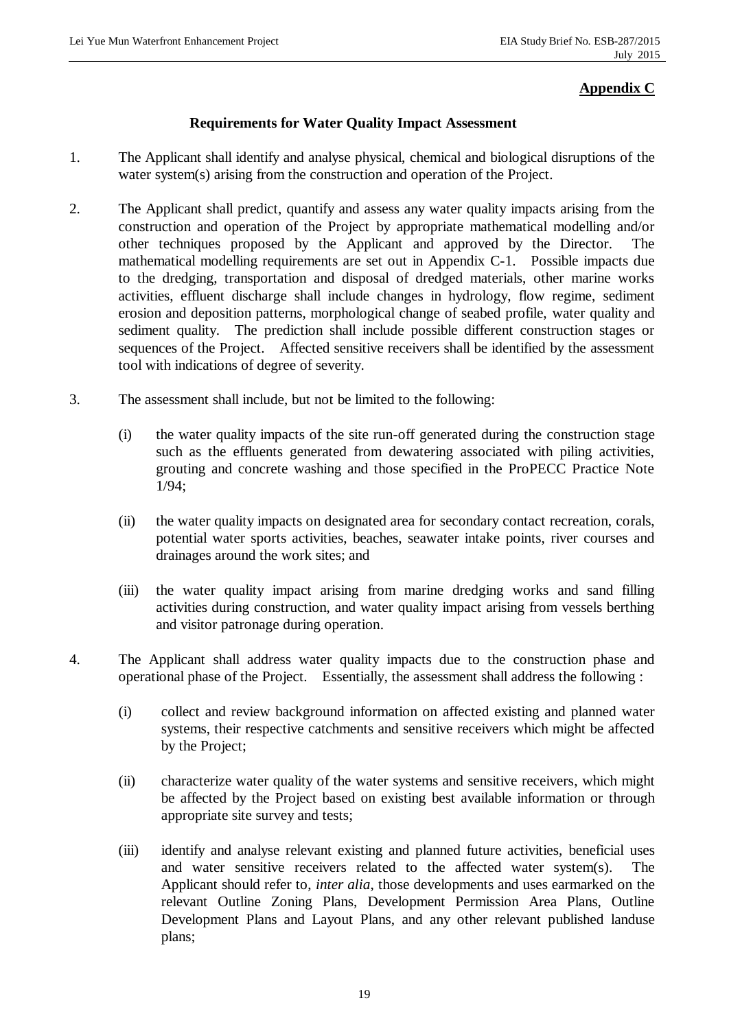# **Appendix C**

## **Requirements for Water Quality Impact Assessment**

- 1. The Applicant shall identify and analyse physical, chemical and biological disruptions of the water system(s) arising from the construction and operation of the Project.
- 2. The Applicant shall predict, quantify and assess any water quality impacts arising from the construction and operation of the Project by appropriate mathematical modelling and/or other techniques proposed by the Applicant and approved by the Director. The mathematical modelling requirements are set out in Appendix C-1. Possible impacts due to the dredging, transportation and disposal of dredged materials, other marine works activities, effluent discharge shall include changes in hydrology, flow regime, sediment erosion and deposition patterns, morphological change of seabed profile, water quality and sediment quality. The prediction shall include possible different construction stages or sequences of the Project. Affected sensitive receivers shall be identified by the assessment tool with indications of degree of severity.
- 3. The assessment shall include, but not be limited to the following:
	- (i) the water quality impacts of the site run-off generated during the construction stage such as the effluents generated from dewatering associated with piling activities, grouting and concrete washing and those specified in the ProPECC Practice Note 1/94;
	- (ii) the water quality impacts on designated area for secondary contact recreation, corals, potential water sports activities, beaches, seawater intake points, river courses and drainages around the work sites; and
	- (iii) the water quality impact arising from marine dredging works and sand filling activities during construction, and water quality impact arising from vessels berthing and visitor patronage during operation.
- 4. The Applicant shall address water quality impacts due to the construction phase and operational phase of the Project. Essentially, the assessment shall address the following :
	- (i) collect and review background information on affected existing and planned water systems, their respective catchments and sensitive receivers which might be affected by the Project;
	- (ii) characterize water quality of the water systems and sensitive receivers, which might be affected by the Project based on existing best available information or through appropriate site survey and tests;
	- (iii) identify and analyse relevant existing and planned future activities, beneficial uses and water sensitive receivers related to the affected water system(s). Applicant should refer to, *inter alia*, those developments and uses earmarked on the relevant Outline Zoning Plans, Development Permission Area Plans, Outline Development Plans and Layout Plans, and any other relevant published landuse plans;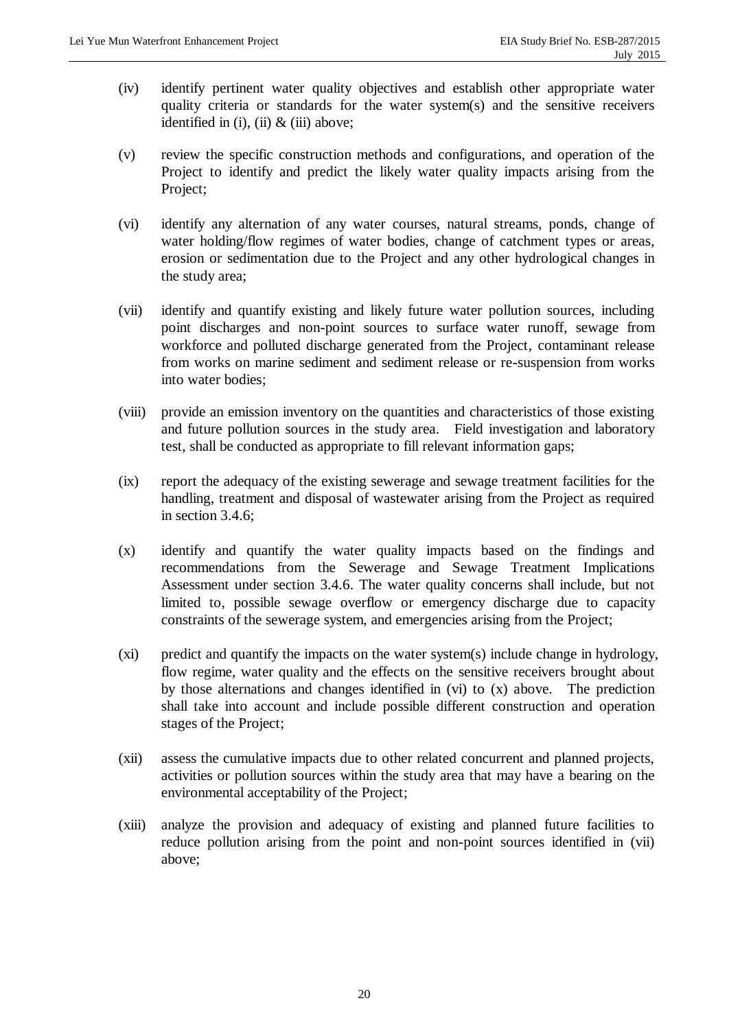- (iv) identify pertinent water quality objectives and establish other appropriate water quality criteria or standards for the water system(s) and the sensitive receivers identified in (i), (ii)  $&$  (iii) above;
- (v) review the specific construction methods and configurations, and operation of the Project to identify and predict the likely water quality impacts arising from the Project;
- (vi) identify any alternation of any water courses, natural streams, ponds, change of water holding/flow regimes of water bodies, change of catchment types or areas, erosion or sedimentation due to the Project and any other hydrological changes in the study area;
- (vii) identify and quantify existing and likely future water pollution sources, including point discharges and non-point sources to surface water runoff, sewage from workforce and polluted discharge generated from the Project, contaminant release from works on marine sediment and sediment release or re-suspension from works into water bodies;
- (viii) provide an emission inventory on the quantities and characteristics of those existing and future pollution sources in the study area. Field investigation and laboratory test, shall be conducted as appropriate to fill relevant information gaps;
- (ix) report the adequacy of the existing sewerage and sewage treatment facilities for the handling, treatment and disposal of wastewater arising from the Project as required in section 3.4.6;
- (x) identify and quantify the water quality impacts based on the findings and recommendations from the Sewerage and Sewage Treatment Implications Assessment under section 3.4.6. The water quality concerns shall include, but not limited to, possible sewage overflow or emergency discharge due to capacity constraints of the sewerage system, and emergencies arising from the Project;
- (xi) predict and quantify the impacts on the water system(s) include change in hydrology, flow regime, water quality and the effects on the sensitive receivers brought about by those alternations and changes identified in (vi) to (x) above. The prediction shall take into account and include possible different construction and operation stages of the Project;
- (xii) assess the cumulative impacts due to other related concurrent and planned projects, activities or pollution sources within the study area that may have a bearing on the environmental acceptability of the Project;
- (xiii) analyze the provision and adequacy of existing and planned future facilities to reduce pollution arising from the point and non-point sources identified in (vii) above;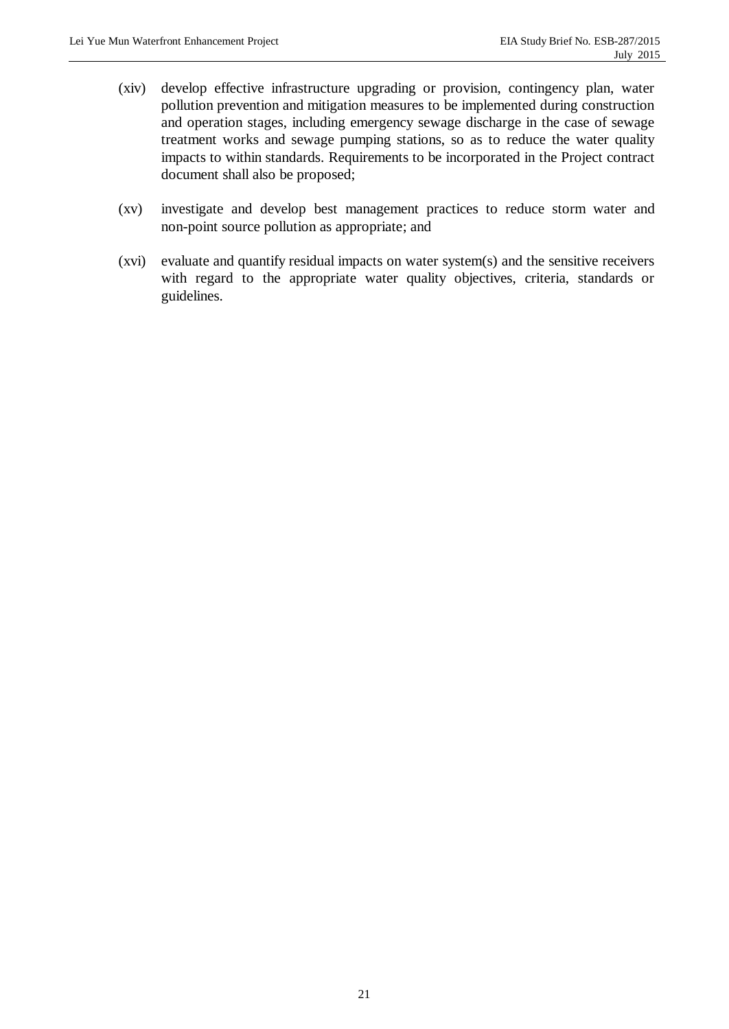- (xiv) develop effective infrastructure upgrading or provision, contingency plan, water pollution prevention and mitigation measures to be implemented during construction and operation stages, including emergency sewage discharge in the case of sewage treatment works and sewage pumping stations, so as to reduce the water quality impacts to within standards. Requirements to be incorporated in the Project contract document shall also be proposed;
- (xv) investigate and develop best management practices to reduce storm water and non-point source pollution as appropriate; and
- (xvi) evaluate and quantify residual impacts on water system(s) and the sensitive receivers with regard to the appropriate water quality objectives, criteria, standards or guidelines.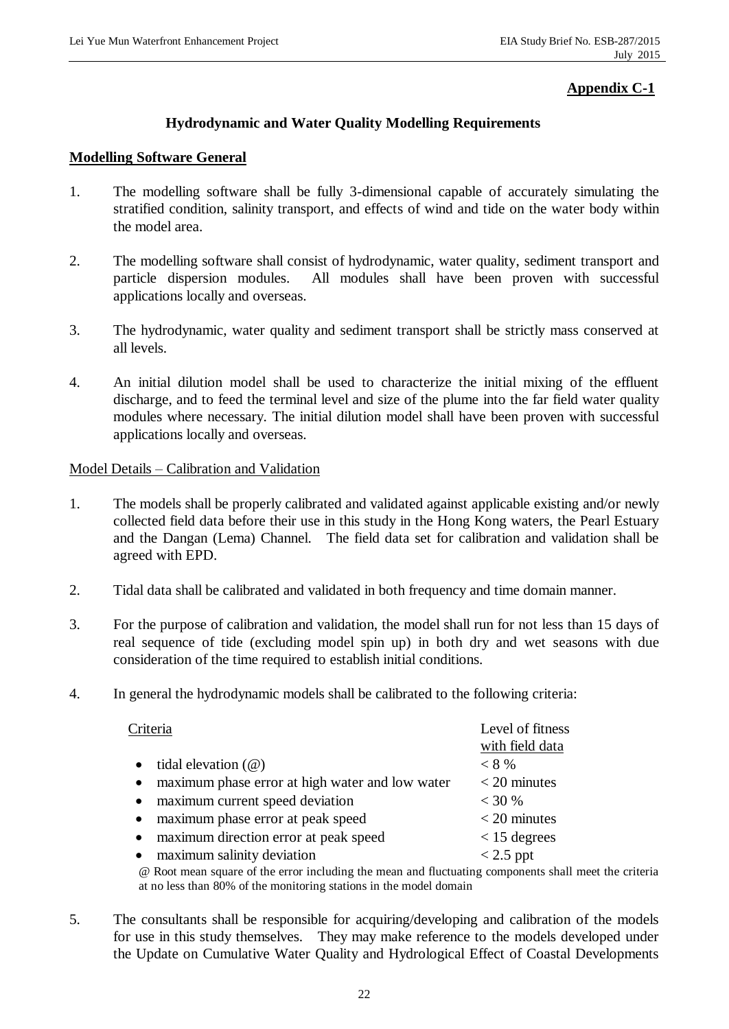# **Appendix C-1**

## **Hydrodynamic and Water Quality Modelling Requirements**

#### **Modelling Software General**

- 1. The modelling software shall be fully 3-dimensional capable of accurately simulating the stratified condition, salinity transport, and effects of wind and tide on the water body within the model area.
- 2. The modelling software shall consist of hydrodynamic, water quality, sediment transport and particle dispersion modules. All modules shall have been proven with successful applications locally and overseas.
- 3. The hydrodynamic, water quality and sediment transport shall be strictly mass conserved at all levels.
- 4. An initial dilution model shall be used to characterize the initial mixing of the effluent discharge, and to feed the terminal level and size of the plume into the far field water quality modules where necessary. The initial dilution model shall have been proven with successful applications locally and overseas.

#### Model Details – Calibration and Validation

- 1. The models shall be properly calibrated and validated against applicable existing and/or newly collected field data before their use in this study in the Hong Kong waters, the Pearl Estuary and the Dangan (Lema) Channel. The field data set for calibration and validation shall be agreed with EPD.
- 2. Tidal data shall be calibrated and validated in both frequency and time domain manner.
- 3. For the purpose of calibration and validation, the model shall run for not less than 15 days of real sequence of tide (excluding model spin up) in both dry and wet seasons with due consideration of the time required to establish initial conditions.
- 4. In general the hydrodynamic models shall be calibrated to the following criteria:

|                                                              | with field data |
|--------------------------------------------------------------|-----------------|
| tidal elevation $(\omega)$<br>$\bullet$                      | $< 8\%$         |
| maximum phase error at high water and low water<br>$\bullet$ | $<$ 20 minutes  |
| maximum current speed deviation<br>$\bullet$                 | $<$ 30 %        |
| maximum phase error at peak speed<br>$\bullet$               | $<$ 20 minutes  |
| maximum direction error at peak speed<br>$\bullet$           | $<$ 15 degrees  |
| maximum salinity deviation<br>$\bullet$                      | $< 2.5$ ppt     |

@ Root mean square of the error including the mean and fluctuating components shall meet the criteria at no less than 80% of the monitoring stations in the model domain

5. The consultants shall be responsible for acquiring/developing and calibration of the models for use in this study themselves. They may make reference to the models developed under the Update on Cumulative Water Quality and Hydrological Effect of Coastal Developments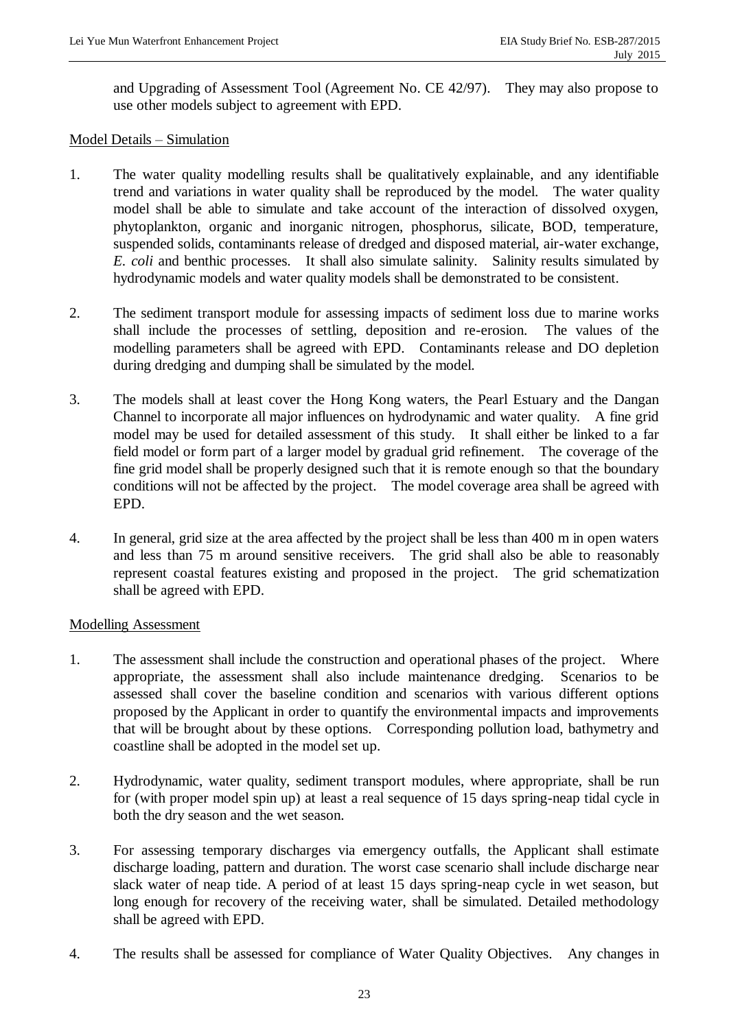and Upgrading of Assessment Tool (Agreement No. CE 42/97). They may also propose to use other models subject to agreement with EPD.

#### Model Details – Simulation

- 1. The water quality modelling results shall be qualitatively explainable, and any identifiable trend and variations in water quality shall be reproduced by the model. The water quality model shall be able to simulate and take account of the interaction of dissolved oxygen, phytoplankton, organic and inorganic nitrogen, phosphorus, silicate, BOD, temperature, suspended solids, contaminants release of dredged and disposed material, air-water exchange, *E. coli* and benthic processes. It shall also simulate salinity. Salinity results simulated by hydrodynamic models and water quality models shall be demonstrated to be consistent.
- 2. The sediment transport module for assessing impacts of sediment loss due to marine works shall include the processes of settling, deposition and re-erosion. The values of the modelling parameters shall be agreed with EPD. Contaminants release and DO depletion during dredging and dumping shall be simulated by the model.
- 3. The models shall at least cover the Hong Kong waters, the Pearl Estuary and the Dangan Channel to incorporate all major influences on hydrodynamic and water quality. A fine grid model may be used for detailed assessment of this study. It shall either be linked to a far field model or form part of a larger model by gradual grid refinement. The coverage of the fine grid model shall be properly designed such that it is remote enough so that the boundary conditions will not be affected by the project. The model coverage area shall be agreed with EPD.
- 4. In general, grid size at the area affected by the project shall be less than 400 m in open waters and less than 75 m around sensitive receivers. The grid shall also be able to reasonably represent coastal features existing and proposed in the project. The grid schematization shall be agreed with EPD.

#### Modelling Assessment

- 1. The assessment shall include the construction and operational phases of the project. Where appropriate, the assessment shall also include maintenance dredging. Scenarios to be assessed shall cover the baseline condition and scenarios with various different options proposed by the Applicant in order to quantify the environmental impacts and improvements that will be brought about by these options. Corresponding pollution load, bathymetry and coastline shall be adopted in the model set up.
- 2. Hydrodynamic, water quality, sediment transport modules, where appropriate, shall be run for (with proper model spin up) at least a real sequence of 15 days spring-neap tidal cycle in both the dry season and the wet season.
- 3. For assessing temporary discharges via emergency outfalls, the Applicant shall estimate discharge loading, pattern and duration. The worst case scenario shall include discharge near slack water of neap tide. A period of at least 15 days spring-neap cycle in wet season, but long enough for recovery of the receiving water, shall be simulated. Detailed methodology shall be agreed with EPD.
- 4. The results shall be assessed for compliance of Water Quality Objectives. Any changes in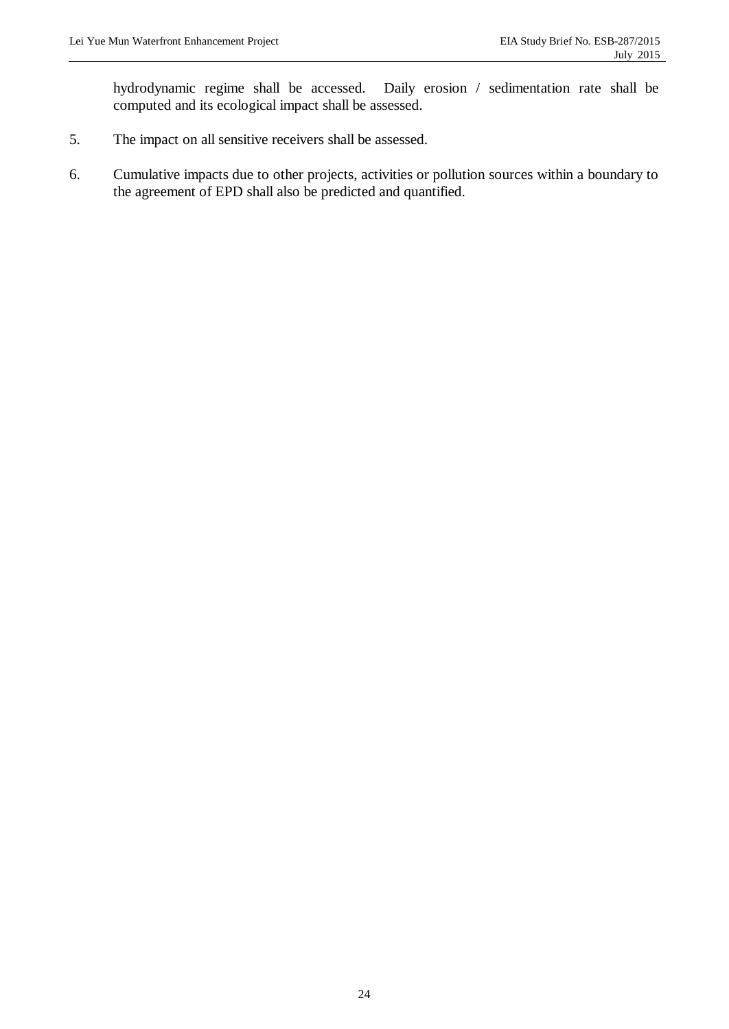hydrodynamic regime shall be accessed. Daily erosion / sedimentation rate shall be computed and its ecological impact shall be assessed.

- 5. The impact on all sensitive receivers shall be assessed.
- 6. Cumulative impacts due to other projects, activities or pollution sources within a boundary to the agreement of EPD shall also be predicted and quantified.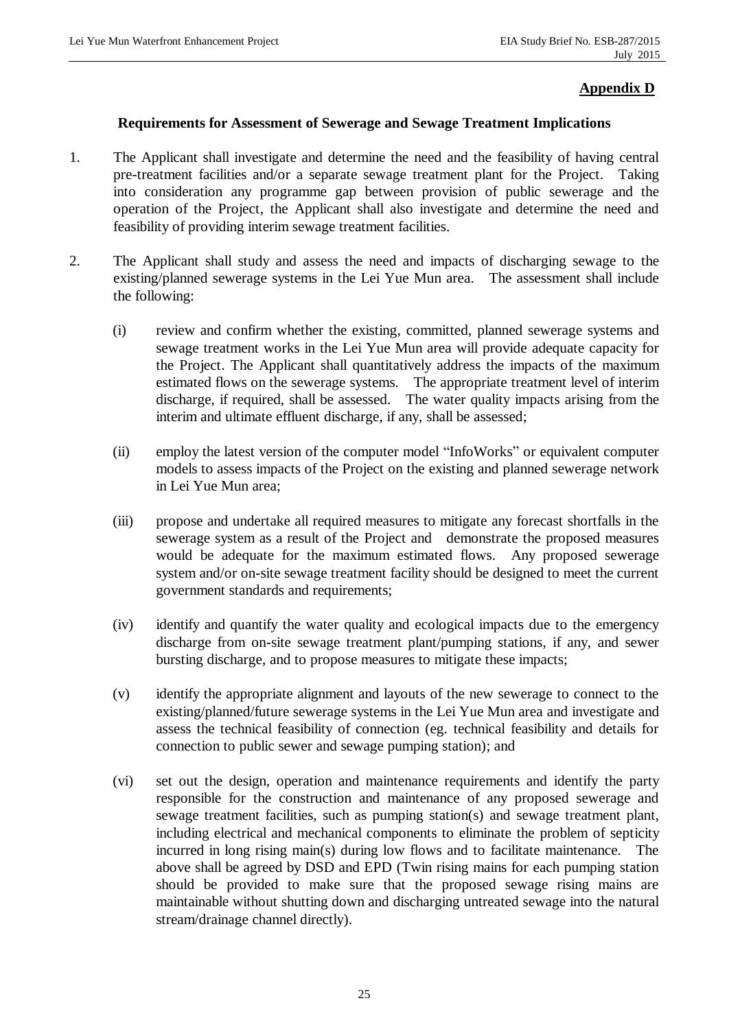# **Appendix D**

#### **Requirements for Assessment of Sewerage and Sewage Treatment Implications**

- 1. The Applicant shall investigate and determine the need and the feasibility of having central pre-treatment facilities and/or a separate sewage treatment plant for the Project. Taking into consideration any programme gap between provision of public sewerage and the operation of the Project, the Applicant shall also investigate and determine the need and feasibility of providing interim sewage treatment facilities.
- 2. The Applicant shall study and assess the need and impacts of discharging sewage to the existing/planned sewerage systems in the Lei Yue Mun area. The assessment shall include the following:
	- (i) review and confirm whether the existing, committed, planned sewerage systems and sewage treatment works in the Lei Yue Mun area will provide adequate capacity for the Project. The Applicant shall quantitatively address the impacts of the maximum estimated flows on the sewerage systems. The appropriate treatment level of interim discharge, if required, shall be assessed. The water quality impacts arising from the interim and ultimate effluent discharge, if any, shall be assessed;
	- (ii) employ the latest version of the computer model "InfoWorks" or equivalent computer models to assess impacts of the Project on the existing and planned sewerage network in Lei Yue Mun area;
	- (iii) propose and undertake all required measures to mitigate any forecast shortfalls in the sewerage system as a result of the Project and demonstrate the proposed measures would be adequate for the maximum estimated flows. Any proposed sewerage system and/or on-site sewage treatment facility should be designed to meet the current government standards and requirements;
	- (iv) identify and quantify the water quality and ecological impacts due to the emergency discharge from on-site sewage treatment plant/pumping stations, if any, and sewer bursting discharge, and to propose measures to mitigate these impacts;
	- (v) identify the appropriate alignment and layouts of the new sewerage to connect to the existing/planned/future sewerage systems in the Lei Yue Mun area and investigate and assess the technical feasibility of connection (eg. technical feasibility and details for connection to public sewer and sewage pumping station); and
	- (vi) set out the design, operation and maintenance requirements and identify the party responsible for the construction and maintenance of any proposed sewerage and sewage treatment facilities, such as pumping station(s) and sewage treatment plant, including electrical and mechanical components to eliminate the problem of septicity incurred in long rising main(s) during low flows and to facilitate maintenance. The above shall be agreed by DSD and EPD (Twin rising mains for each pumping station should be provided to make sure that the proposed sewage rising mains are maintainable without shutting down and discharging untreated sewage into the natural stream/drainage channel directly).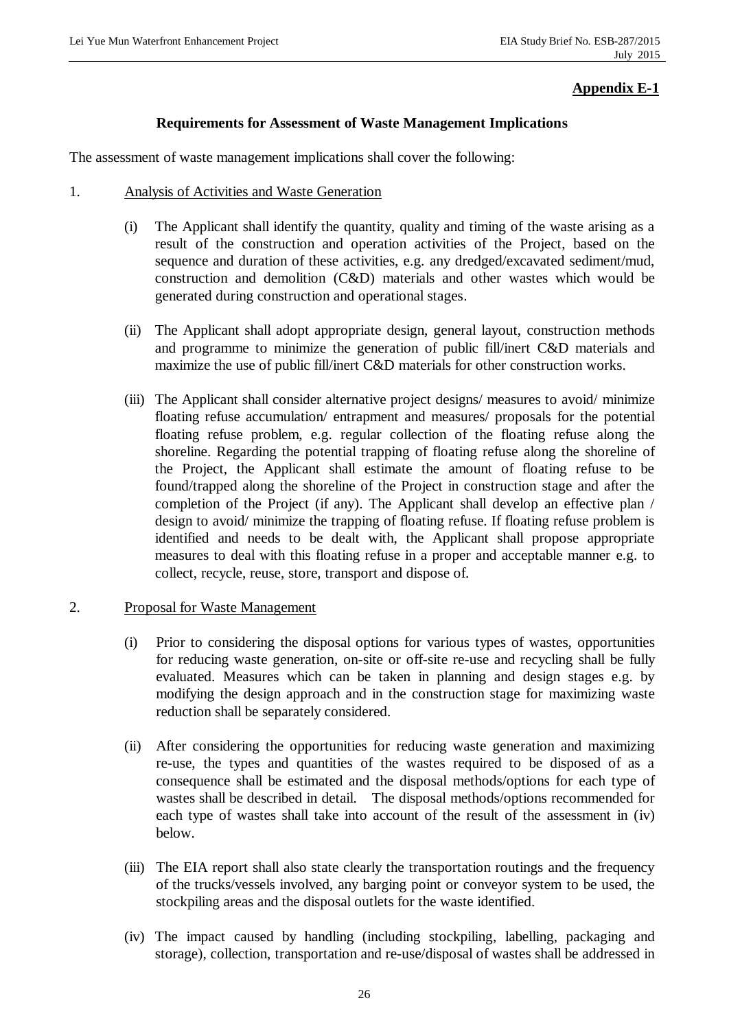## **Appendix E-1**

#### **Requirements for Assessment of Waste Management Implications**

The assessment of waste management implications shall cover the following:

#### 1. Analysis of Activities and Waste Generation

- (i) The Applicant shall identify the quantity, quality and timing of the waste arising as a result of the construction and operation activities of the Project, based on the sequence and duration of these activities, e.g. any dredged/excavated sediment/mud, construction and demolition (C&D) materials and other wastes which would be generated during construction and operational stages.
- (ii) The Applicant shall adopt appropriate design, general layout, construction methods and programme to minimize the generation of public fill/inert C&D materials and maximize the use of public fill/inert C&D materials for other construction works.
- (iii) The Applicant shall consider alternative project designs/ measures to avoid/ minimize floating refuse accumulation/ entrapment and measures/ proposals for the potential floating refuse problem, e.g. regular collection of the floating refuse along the shoreline. Regarding the potential trapping of floating refuse along the shoreline of the Project, the Applicant shall estimate the amount of floating refuse to be found/trapped along the shoreline of the Project in construction stage and after the completion of the Project (if any). The Applicant shall develop an effective plan / design to avoid/ minimize the trapping of floating refuse. If floating refuse problem is identified and needs to be dealt with, the Applicant shall propose appropriate measures to deal with this floating refuse in a proper and acceptable manner e.g. to collect, recycle, reuse, store, transport and dispose of.

#### 2. Proposal for Waste Management

- (i) Prior to considering the disposal options for various types of wastes, opportunities for reducing waste generation, on-site or off-site re-use and recycling shall be fully evaluated. Measures which can be taken in planning and design stages e.g. by modifying the design approach and in the construction stage for maximizing waste reduction shall be separately considered.
- (ii) After considering the opportunities for reducing waste generation and maximizing re-use, the types and quantities of the wastes required to be disposed of as a consequence shall be estimated and the disposal methods/options for each type of wastes shall be described in detail. The disposal methods/options recommended for each type of wastes shall take into account of the result of the assessment in (iv) below.
- (iii) The EIA report shall also state clearly the transportation routings and the frequency of the trucks/vessels involved, any barging point or conveyor system to be used, the stockpiling areas and the disposal outlets for the waste identified.
- (iv) The impact caused by handling (including stockpiling, labelling, packaging and storage), collection, transportation and re-use/disposal of wastes shall be addressed in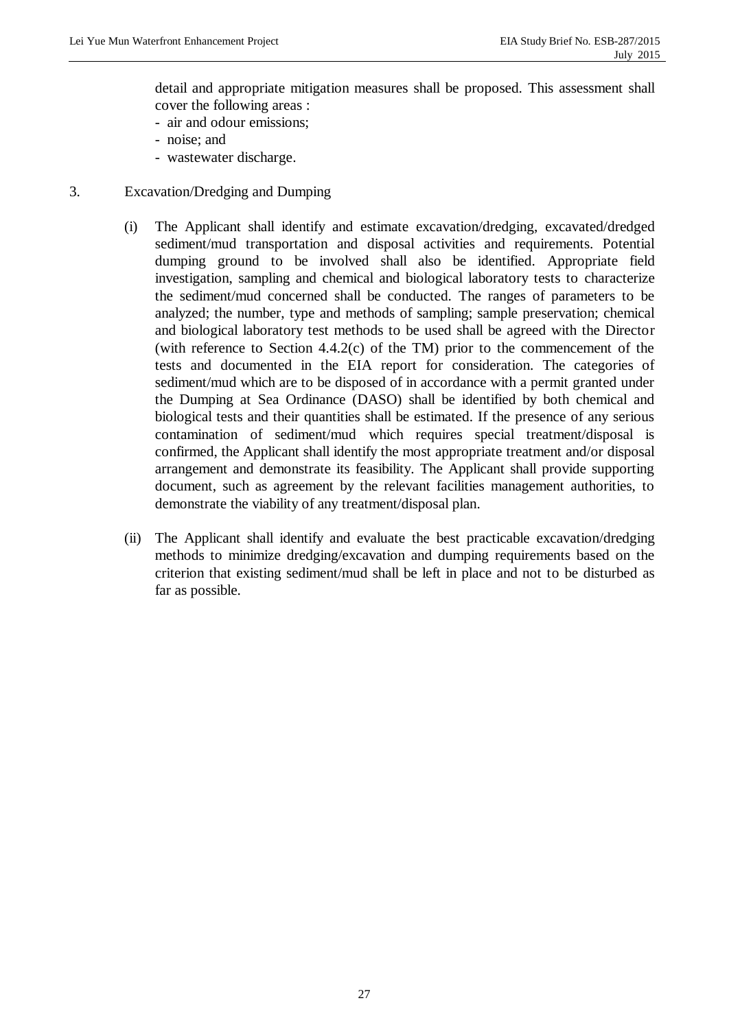detail and appropriate mitigation measures shall be proposed. This assessment shall cover the following areas :

- air and odour emissions;
- noise; and
- wastewater discharge.
- 3. Excavation/Dredging and Dumping
	- (i) The Applicant shall identify and estimate excavation/dredging, excavated/dredged sediment/mud transportation and disposal activities and requirements. Potential dumping ground to be involved shall also be identified. Appropriate field investigation, sampling and chemical and biological laboratory tests to characterize the sediment/mud concerned shall be conducted. The ranges of parameters to be analyzed; the number, type and methods of sampling; sample preservation; chemical and biological laboratory test methods to be used shall be agreed with the Director (with reference to Section 4.4.2(c) of the TM) prior to the commencement of the tests and documented in the EIA report for consideration. The categories of sediment/mud which are to be disposed of in accordance with a permit granted under the Dumping at Sea Ordinance (DASO) shall be identified by both chemical and biological tests and their quantities shall be estimated. If the presence of any serious contamination of sediment/mud which requires special treatment/disposal is confirmed, the Applicant shall identify the most appropriate treatment and/or disposal arrangement and demonstrate its feasibility. The Applicant shall provide supporting document, such as agreement by the relevant facilities management authorities, to demonstrate the viability of any treatment/disposal plan.
	- (ii) The Applicant shall identify and evaluate the best practicable excavation/dredging methods to minimize dredging/excavation and dumping requirements based on the criterion that existing sediment/mud shall be left in place and not to be disturbed as far as possible.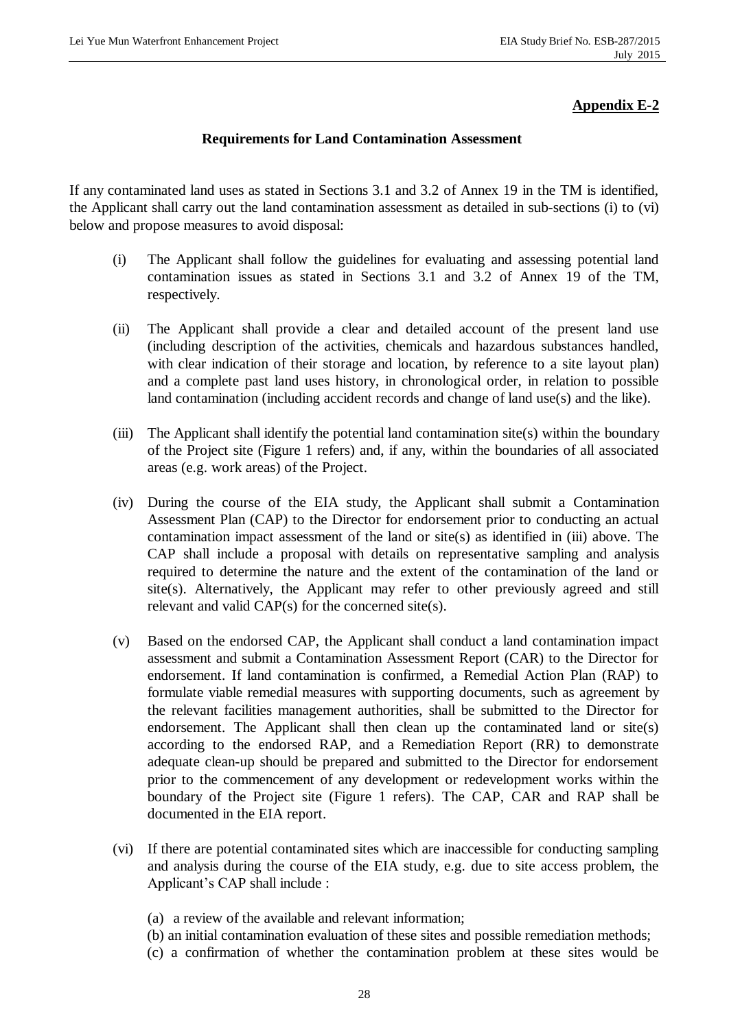# **Appendix E-2**

#### **Requirements for Land Contamination Assessment**

If any contaminated land uses as stated in Sections 3.1 and 3.2 of Annex 19 in the TM is identified, the Applicant shall carry out the land contamination assessment as detailed in sub-sections (i) to (vi) below and propose measures to avoid disposal:

- (i) The Applicant shall follow the guidelines for evaluating and assessing potential land contamination issues as stated in Sections 3.1 and 3.2 of Annex 19 of the TM, respectively.
- (ii) The Applicant shall provide a clear and detailed account of the present land use (including description of the activities, chemicals and hazardous substances handled, with clear indication of their storage and location, by reference to a site layout plan) and a complete past land uses history, in chronological order, in relation to possible land contamination (including accident records and change of land use(s) and the like).
- (iii) The Applicant shall identify the potential land contamination site(s) within the boundary of the Project site (Figure 1 refers) and, if any, within the boundaries of all associated areas (e.g. work areas) of the Project.
- (iv) During the course of the EIA study, the Applicant shall submit a Contamination Assessment Plan (CAP) to the Director for endorsement prior to conducting an actual contamination impact assessment of the land or site(s) as identified in (iii) above. The CAP shall include a proposal with details on representative sampling and analysis required to determine the nature and the extent of the contamination of the land or site(s). Alternatively, the Applicant may refer to other previously agreed and still relevant and valid CAP(s) for the concerned site(s).
- (v) Based on the endorsed CAP, the Applicant shall conduct a land contamination impact assessment and submit a Contamination Assessment Report (CAR) to the Director for endorsement. If land contamination is confirmed, a Remedial Action Plan (RAP) to formulate viable remedial measures with supporting documents, such as agreement by the relevant facilities management authorities, shall be submitted to the Director for endorsement. The Applicant shall then clean up the contaminated land or site(s) according to the endorsed RAP, and a Remediation Report (RR) to demonstrate adequate clean-up should be prepared and submitted to the Director for endorsement prior to the commencement of any development or redevelopment works within the boundary of the Project site (Figure 1 refers). The CAP, CAR and RAP shall be documented in the EIA report.
- (vi) If there are potential contaminated sites which are inaccessible for conducting sampling and analysis during the course of the EIA study, e.g. due to site access problem, the Applicant's CAP shall include :
	- (a) a review of the available and relevant information;
	- (b) an initial contamination evaluation of these sites and possible remediation methods;
	- (c) a confirmation of whether the contamination problem at these sites would be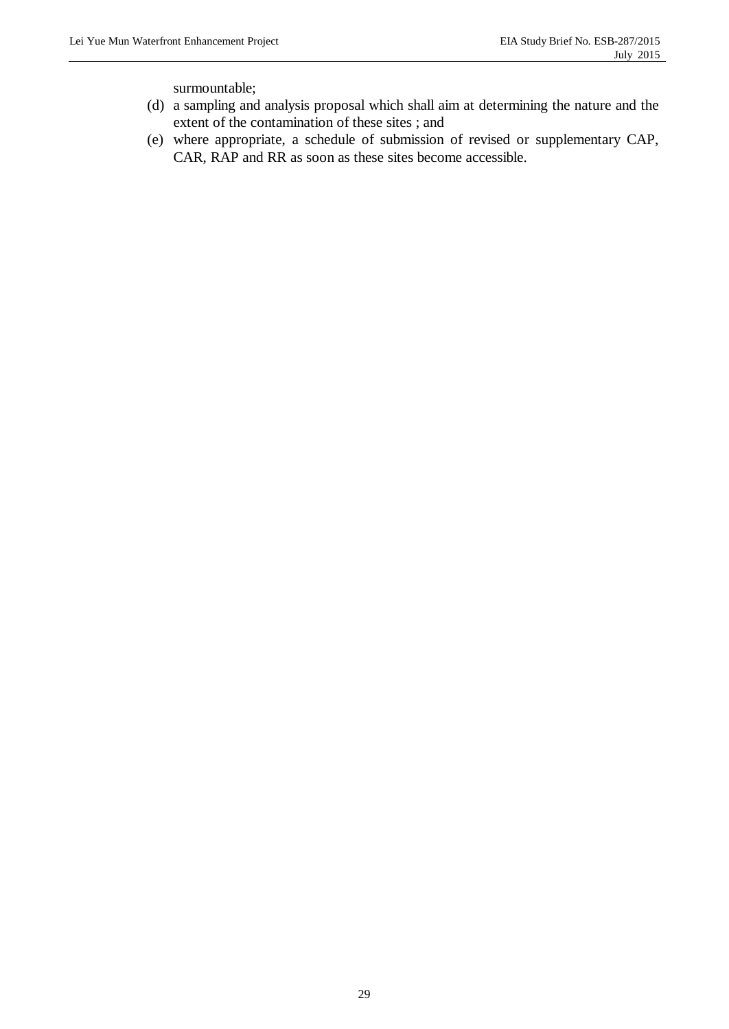surmountable;

- (d) a sampling and analysis proposal which shall aim at determining the nature and the extent of the contamination of these sites ; and
- (e) where appropriate, a schedule of submission of revised or supplementary CAP, CAR, RAP and RR as soon as these sites become accessible.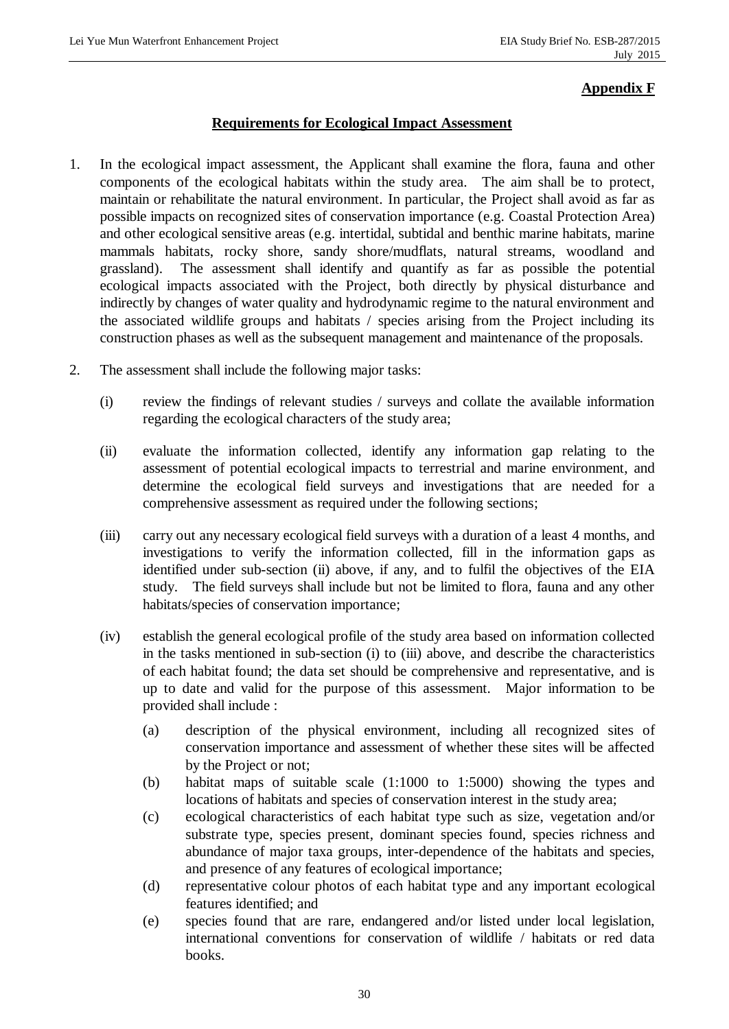# **Appendix F**

## **Requirements for Ecological Impact Assessment**

- 1. In the ecological impact assessment, the Applicant shall examine the flora, fauna and other components of the ecological habitats within the study area. The aim shall be to protect, maintain or rehabilitate the natural environment. In particular, the Project shall avoid as far as possible impacts on recognized sites of conservation importance (e.g. Coastal Protection Area) and other ecological sensitive areas (e.g. intertidal, subtidal and benthic marine habitats, marine mammals habitats, rocky shore, sandy shore/mudflats, natural streams, woodland and grassland). The assessment shall identify and quantify as far as possible the potential ecological impacts associated with the Project, both directly by physical disturbance and indirectly by changes of water quality and hydrodynamic regime to the natural environment and the associated wildlife groups and habitats / species arising from the Project including its construction phases as well as the subsequent management and maintenance of the proposals.
- 2. The assessment shall include the following major tasks:
	- (i) review the findings of relevant studies / surveys and collate the available information regarding the ecological characters of the study area;
	- (ii) evaluate the information collected, identify any information gap relating to the assessment of potential ecological impacts to terrestrial and marine environment, and determine the ecological field surveys and investigations that are needed for a comprehensive assessment as required under the following sections;
	- (iii) carry out any necessary ecological field surveys with a duration of a least 4 months, and investigations to verify the information collected, fill in the information gaps as identified under sub-section (ii) above, if any, and to fulfil the objectives of the EIA study. The field surveys shall include but not be limited to flora, fauna and any other habitats/species of conservation importance;
	- (iv) establish the general ecological profile of the study area based on information collected in the tasks mentioned in sub-section (i) to (iii) above, and describe the characteristics of each habitat found; the data set should be comprehensive and representative, and is up to date and valid for the purpose of this assessment. Major information to be provided shall include :
		- (a) description of the physical environment, including all recognized sites of conservation importance and assessment of whether these sites will be affected by the Project or not;
		- (b) habitat maps of suitable scale (1:1000 to 1:5000) showing the types and locations of habitats and species of conservation interest in the study area;
		- (c) ecological characteristics of each habitat type such as size, vegetation and/or substrate type, species present, dominant species found, species richness and abundance of major taxa groups, inter-dependence of the habitats and species, and presence of any features of ecological importance;
		- (d) representative colour photos of each habitat type and any important ecological features identified; and
		- (e) species found that are rare, endangered and/or listed under local legislation, international conventions for conservation of wildlife / habitats or red data books.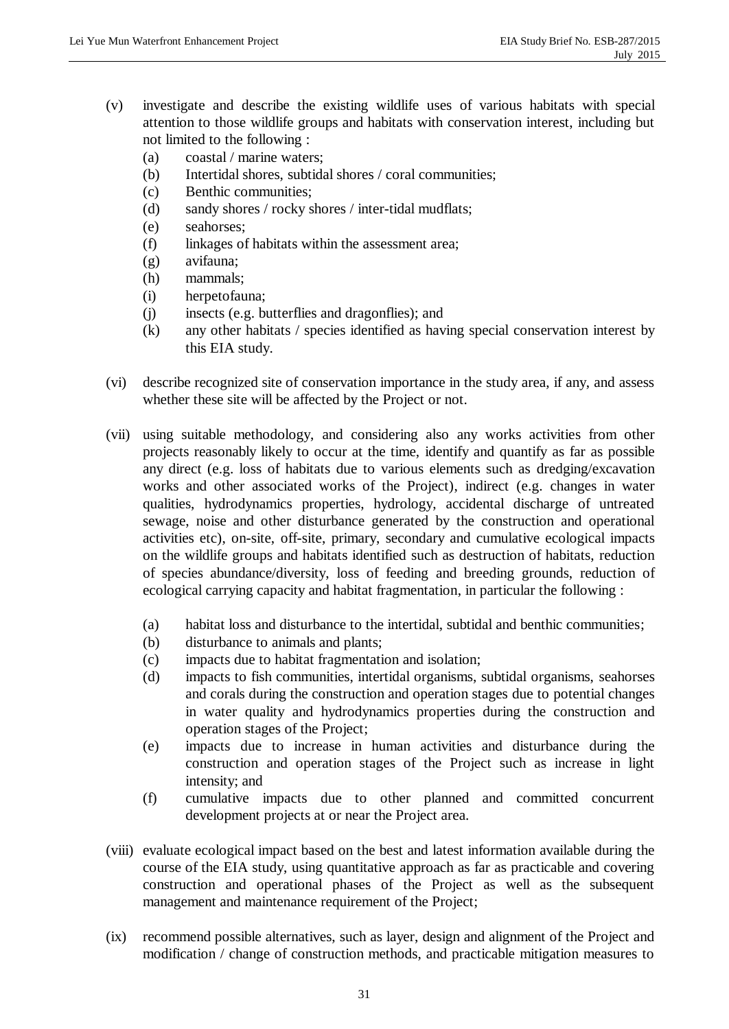- (v) investigate and describe the existing wildlife uses of various habitats with special attention to those wildlife groups and habitats with conservation interest, including but not limited to the following :
	- (a) coastal / marine waters;
	- (b) Intertidal shores, subtidal shores / coral communities;
	- (c) Benthic communities;
	- (d) sandy shores / rocky shores / inter-tidal mudflats;
	- (e) seahorses;
	- (f) linkages of habitats within the assessment area;
	- (g) avifauna;
	- (h) mammals;
	- (i) herpetofauna;
	- (j) insects (e.g. butterflies and dragonflies); and
	- (k) any other habitats / species identified as having special conservation interest by this EIA study.
- (vi) describe recognized site of conservation importance in the study area, if any, and assess whether these site will be affected by the Project or not.
- (vii) using suitable methodology, and considering also any works activities from other projects reasonably likely to occur at the time, identify and quantify as far as possible any direct (e.g. loss of habitats due to various elements such as dredging/excavation works and other associated works of the Project), indirect (e.g. changes in water qualities, hydrodynamics properties, hydrology, accidental discharge of untreated sewage, noise and other disturbance generated by the construction and operational activities etc), on-site, off-site, primary, secondary and cumulative ecological impacts on the wildlife groups and habitats identified such as destruction of habitats, reduction of species abundance/diversity, loss of feeding and breeding grounds, reduction of ecological carrying capacity and habitat fragmentation, in particular the following :
	- (a) habitat loss and disturbance to the intertidal, subtidal and benthic communities;
	- (b) disturbance to animals and plants;
	- (c) impacts due to habitat fragmentation and isolation;
	- (d) impacts to fish communities, intertidal organisms, subtidal organisms, seahorses and corals during the construction and operation stages due to potential changes in water quality and hydrodynamics properties during the construction and operation stages of the Project;
	- (e) impacts due to increase in human activities and disturbance during the construction and operation stages of the Project such as increase in light intensity; and
	- (f) cumulative impacts due to other planned and committed concurrent development projects at or near the Project area.
- (viii) evaluate ecological impact based on the best and latest information available during the course of the EIA study, using quantitative approach as far as practicable and covering construction and operational phases of the Project as well as the subsequent management and maintenance requirement of the Project;
- (ix) recommend possible alternatives, such as layer, design and alignment of the Project and modification / change of construction methods, and practicable mitigation measures to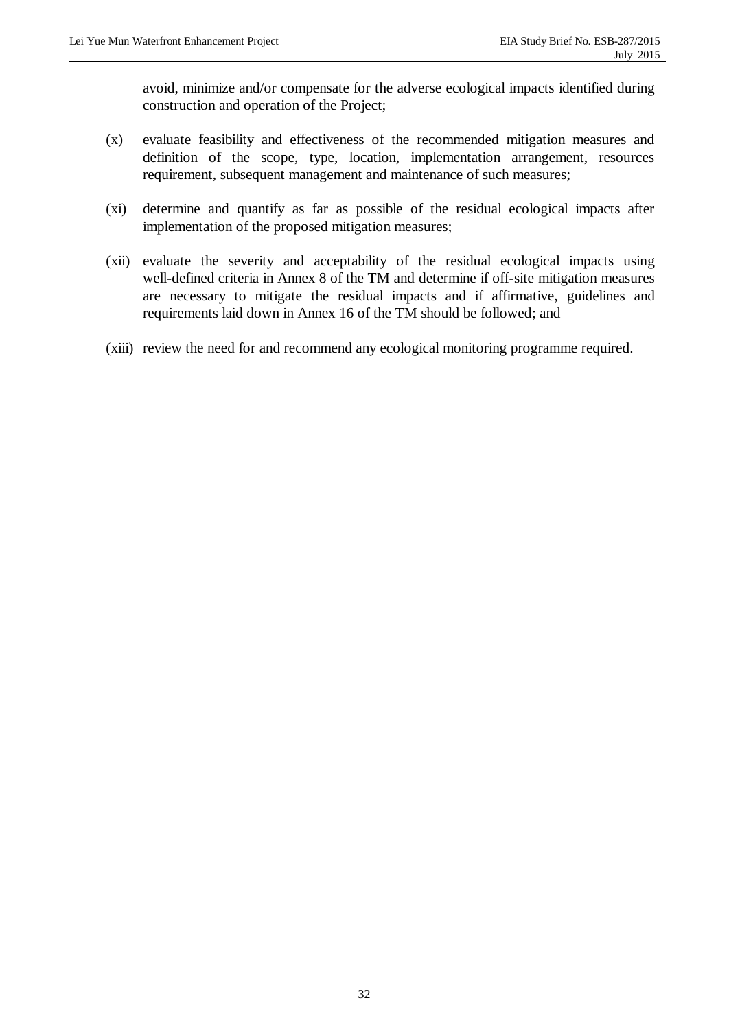avoid, minimize and/or compensate for the adverse ecological impacts identified during construction and operation of the Project;

- (x) evaluate feasibility and effectiveness of the recommended mitigation measures and definition of the scope, type, location, implementation arrangement, resources requirement, subsequent management and maintenance of such measures;
- (xi) determine and quantify as far as possible of the residual ecological impacts after implementation of the proposed mitigation measures;
- (xii) evaluate the severity and acceptability of the residual ecological impacts using well-defined criteria in Annex 8 of the TM and determine if off-site mitigation measures are necessary to mitigate the residual impacts and if affirmative, guidelines and requirements laid down in Annex 16 of the TM should be followed; and
- (xiii) review the need for and recommend any ecological monitoring programme required.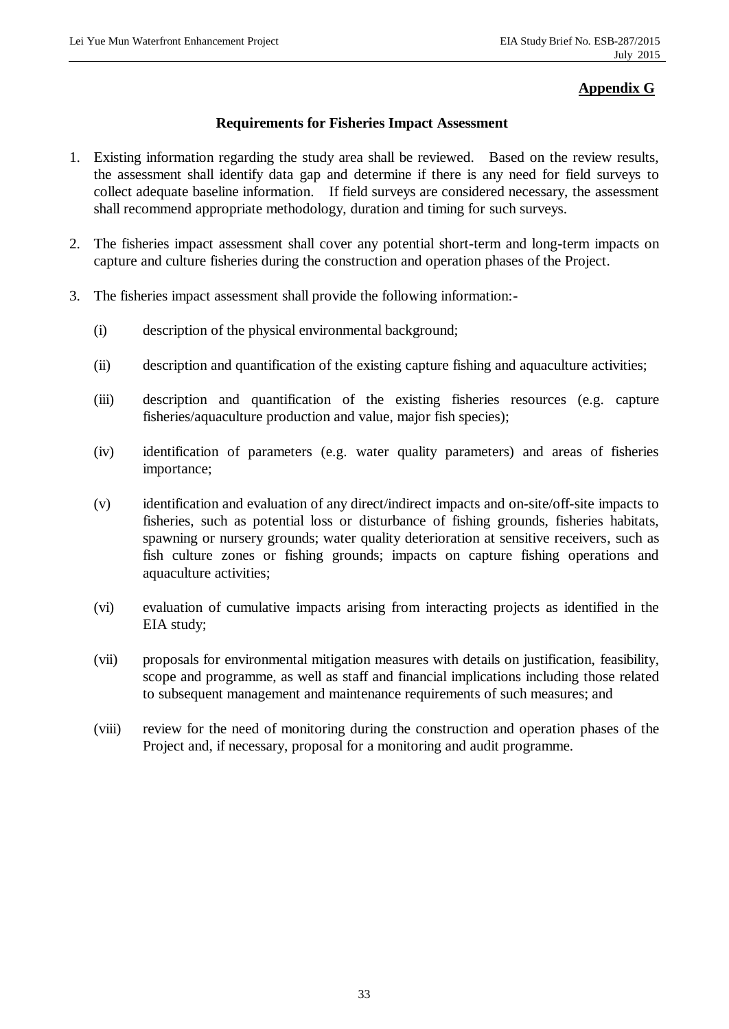# **Appendix G**

#### **Requirements for Fisheries Impact Assessment**

- 1. Existing information regarding the study area shall be reviewed. Based on the review results, the assessment shall identify data gap and determine if there is any need for field surveys to collect adequate baseline information. If field surveys are considered necessary, the assessment shall recommend appropriate methodology, duration and timing for such surveys.
- 2. The fisheries impact assessment shall cover any potential short-term and long-term impacts on capture and culture fisheries during the construction and operation phases of the Project.
- 3. The fisheries impact assessment shall provide the following information:-
	- (i) description of the physical environmental background;
	- (ii) description and quantification of the existing capture fishing and aquaculture activities;
	- (iii) description and quantification of the existing fisheries resources (e.g. capture fisheries/aquaculture production and value, major fish species);
	- (iv) identification of parameters (e.g. water quality parameters) and areas of fisheries importance;
	- (v) identification and evaluation of any direct/indirect impacts and on-site/off-site impacts to fisheries, such as potential loss or disturbance of fishing grounds, fisheries habitats, spawning or nursery grounds; water quality deterioration at sensitive receivers, such as fish culture zones or fishing grounds; impacts on capture fishing operations and aquaculture activities;
	- (vi) evaluation of cumulative impacts arising from interacting projects as identified in the EIA study;
	- (vii) proposals for environmental mitigation measures with details on justification, feasibility, scope and programme, as well as staff and financial implications including those related to subsequent management and maintenance requirements of such measures; and
	- (viii) review for the need of monitoring during the construction and operation phases of the Project and, if necessary, proposal for a monitoring and audit programme.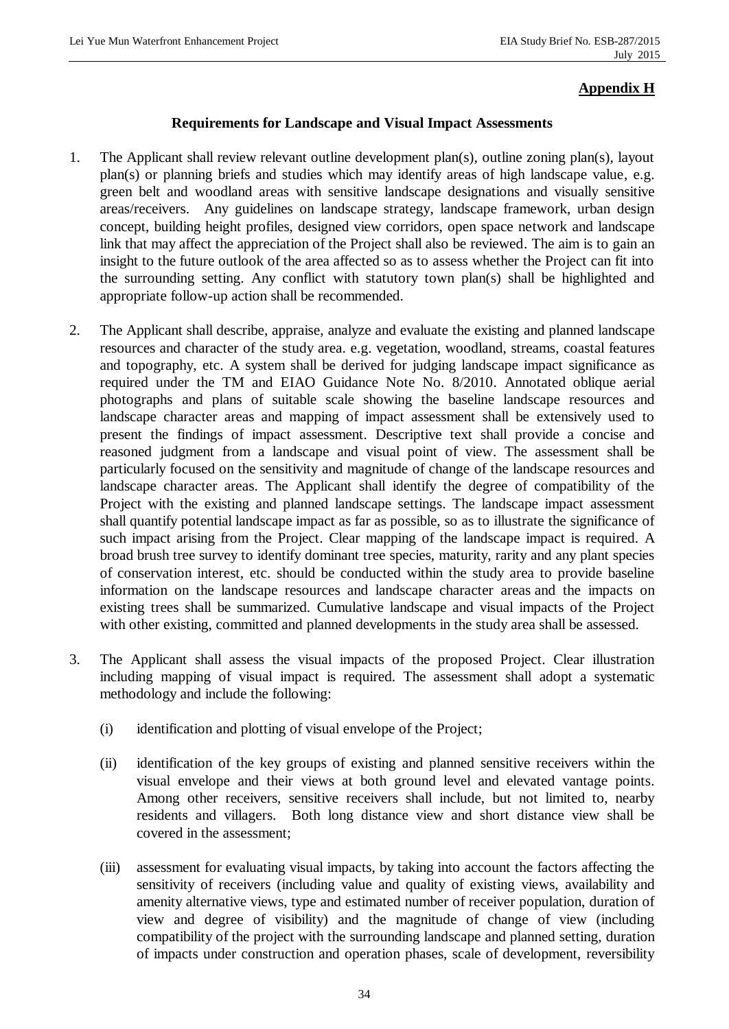# **Appendix H**

#### **Requirements for Landscape and Visual Impact Assessments**

- 1. The Applicant shall review relevant outline development plan(s), outline zoning plan(s), layout plan(s) or planning briefs and studies which may identify areas of high landscape value, e.g. green belt and woodland areas with sensitive landscape designations and visually sensitive areas/receivers. Any guidelines on landscape strategy, landscape framework, urban design concept, building height profiles, designed view corridors, open space network and landscape link that may affect the appreciation of the Project shall also be reviewed. The aim is to gain an insight to the future outlook of the area affected so as to assess whether the Project can fit into the surrounding setting. Any conflict with statutory town plan(s) shall be highlighted and appropriate follow-up action shall be recommended.
- 2. The Applicant shall describe, appraise, analyze and evaluate the existing and planned landscape resources and character of the study area. e.g. vegetation, woodland, streams, coastal features and topography, etc. A system shall be derived for judging landscape impact significance as required under the TM and EIAO Guidance Note No. 8/2010. Annotated oblique aerial photographs and plans of suitable scale showing the baseline landscape resources and landscape character areas and mapping of impact assessment shall be extensively used to present the findings of impact assessment. Descriptive text shall provide a concise and reasoned judgment from a landscape and visual point of view. The assessment shall be particularly focused on the sensitivity and magnitude of change of the landscape resources and landscape character areas. The Applicant shall identify the degree of compatibility of the Project with the existing and planned landscape settings. The landscape impact assessment shall quantify potential landscape impact as far as possible, so as to illustrate the significance of such impact arising from the Project. Clear mapping of the landscape impact is required. A broad brush tree survey to identify dominant tree species, maturity, rarity and any plant species of conservation interest, etc. should be conducted within the study area to provide baseline information on the landscape resources and landscape character areas and the impacts on existing trees shall be summarized. Cumulative landscape and visual impacts of the Project with other existing, committed and planned developments in the study area shall be assessed.
- 3. The Applicant shall assess the visual impacts of the proposed Project. Clear illustration including mapping of visual impact is required. The assessment shall adopt a systematic methodology and include the following:
	- (i) identification and plotting of visual envelope of the Project;
	- (ii) identification of the key groups of existing and planned sensitive receivers within the visual envelope and their views at both ground level and elevated vantage points. Among other receivers, sensitive receivers shall include, but not limited to, nearby residents and villagers. Both long distance view and short distance view shall be covered in the assessment;
	- (iii) assessment for evaluating visual impacts, by taking into account the factors affecting the sensitivity of receivers (including value and quality of existing views, availability and amenity alternative views, type and estimated number of receiver population, duration of view and degree of visibility) and the magnitude of change of view (including compatibility of the project with the surrounding landscape and planned setting, duration of impacts under construction and operation phases, scale of development, reversibility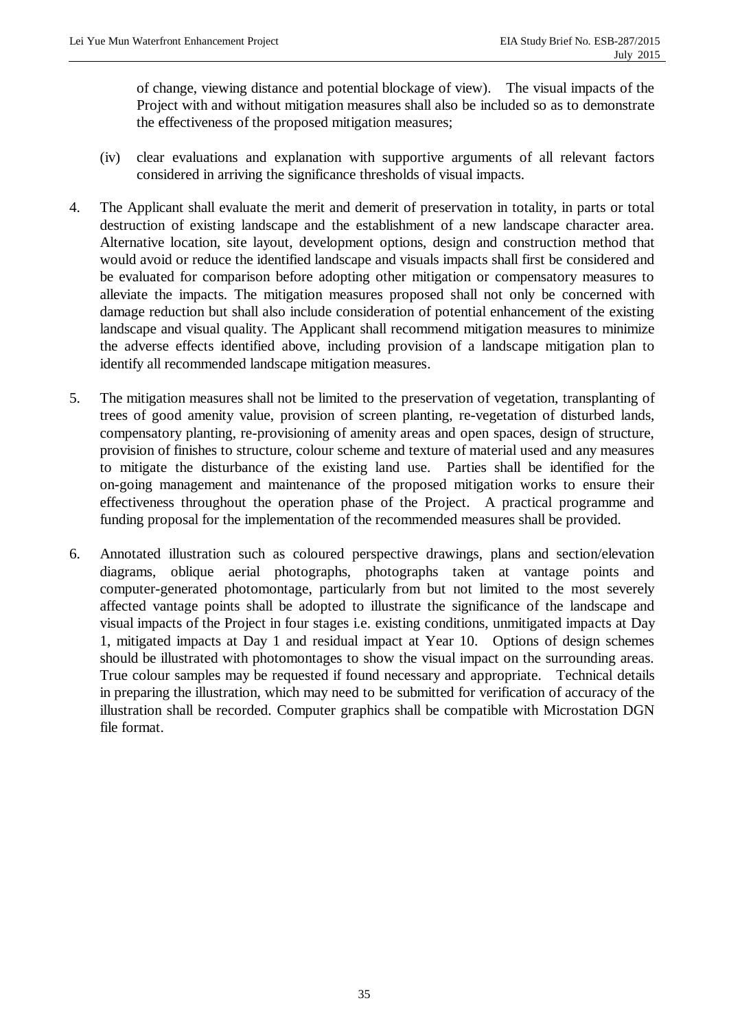of change, viewing distance and potential blockage of view). The visual impacts of the Project with and without mitigation measures shall also be included so as to demonstrate the effectiveness of the proposed mitigation measures;

- (iv) clear evaluations and explanation with supportive arguments of all relevant factors considered in arriving the significance thresholds of visual impacts.
- 4. The Applicant shall evaluate the merit and demerit of preservation in totality, in parts or total destruction of existing landscape and the establishment of a new landscape character area. Alternative location, site layout, development options, design and construction method that would avoid or reduce the identified landscape and visuals impacts shall first be considered and be evaluated for comparison before adopting other mitigation or compensatory measures to alleviate the impacts. The mitigation measures proposed shall not only be concerned with damage reduction but shall also include consideration of potential enhancement of the existing landscape and visual quality. The Applicant shall recommend mitigation measures to minimize the adverse effects identified above, including provision of a landscape mitigation plan to identify all recommended landscape mitigation measures.
- 5. The mitigation measures shall not be limited to the preservation of vegetation, transplanting of trees of good amenity value, provision of screen planting, re-vegetation of disturbed lands, compensatory planting, re-provisioning of amenity areas and open spaces, design of structure, provision of finishes to structure, colour scheme and texture of material used and any measures to mitigate the disturbance of the existing land use. Parties shall be identified for the on-going management and maintenance of the proposed mitigation works to ensure their effectiveness throughout the operation phase of the Project. A practical programme and funding proposal for the implementation of the recommended measures shall be provided.
- 6. Annotated illustration such as coloured perspective drawings, plans and section/elevation diagrams, oblique aerial photographs, photographs taken at vantage points and computer-generated photomontage, particularly from but not limited to the most severely affected vantage points shall be adopted to illustrate the significance of the landscape and visual impacts of the Project in four stages i.e. existing conditions, unmitigated impacts at Day 1, mitigated impacts at Day 1 and residual impact at Year 10. Options of design schemes should be illustrated with photomontages to show the visual impact on the surrounding areas. True colour samples may be requested if found necessary and appropriate. Technical details in preparing the illustration, which may need to be submitted for verification of accuracy of the illustration shall be recorded. Computer graphics shall be compatible with Microstation DGN file format.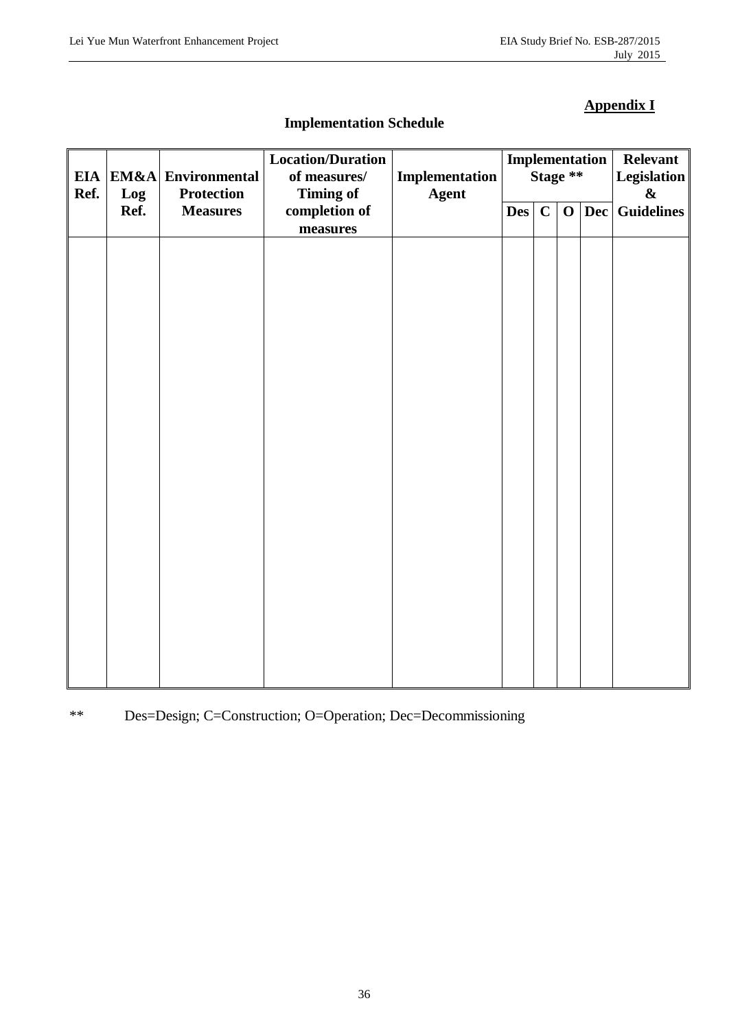# **Appendix I**

| Ref. | Log  | EIA   EM&A   Environmental<br><b>Protection</b> | <b>Location/Duration</b><br>of measures/<br><b>Timing of</b> | Implementation<br><b>Agent</b> | Implementation<br>Stage ** |             |             | Relevant<br>Legislation<br>$\pmb{\&}$ |                |
|------|------|-------------------------------------------------|--------------------------------------------------------------|--------------------------------|----------------------------|-------------|-------------|---------------------------------------|----------------|
|      | Ref. | <b>Measures</b>                                 | completion of<br>measures                                    |                                | Des                        | $\mathbf C$ | $\mathbf 0$ |                                       | Dec Guidelines |
|      |      |                                                 |                                                              |                                |                            |             |             |                                       |                |
|      |      |                                                 |                                                              |                                |                            |             |             |                                       |                |
|      |      |                                                 |                                                              |                                |                            |             |             |                                       |                |
|      |      |                                                 |                                                              |                                |                            |             |             |                                       |                |
|      |      |                                                 |                                                              |                                |                            |             |             |                                       |                |
|      |      |                                                 |                                                              |                                |                            |             |             |                                       |                |
|      |      |                                                 |                                                              |                                |                            |             |             |                                       |                |
|      |      |                                                 |                                                              |                                |                            |             |             |                                       |                |
|      |      |                                                 |                                                              |                                |                            |             |             |                                       |                |
|      |      |                                                 |                                                              |                                |                            |             |             |                                       |                |
|      |      |                                                 |                                                              |                                |                            |             |             |                                       |                |
|      |      |                                                 |                                                              |                                |                            |             |             |                                       |                |
|      |      |                                                 |                                                              |                                |                            |             |             |                                       |                |

**Implementation Schedule** 

\*\* Des=Design; C=Construction; O=Operation; Dec=Decommissioning